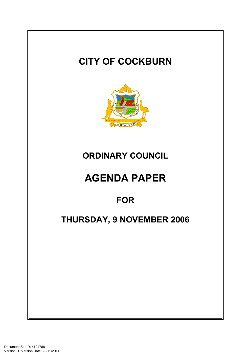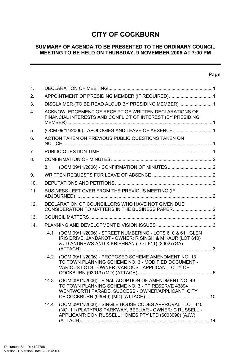# **CITY OF COCKBURN**

# **SUMMARY OF AGENDA TO BE PRESENTED TO THE ORDINARY COUNCIL MEETING TO BE HELD ON THURSDAY, 9 NOVEMBER 2006 AT 7:00 PM**

# **Page**

 $\sim$ 

| 1.  |                                                                                                                     |                                                                                                                                                                             |  |  |
|-----|---------------------------------------------------------------------------------------------------------------------|-----------------------------------------------------------------------------------------------------------------------------------------------------------------------------|--|--|
| 2.  |                                                                                                                     | APPOINTMENT OF PRESIDING MEMBER (IF REQUIRED)1                                                                                                                              |  |  |
| 3.  |                                                                                                                     | DISCLAIMER (TO BE READ ALOUD BY PRESIDING MEMBER) 1                                                                                                                         |  |  |
| 4.  | ACKNOWLEDGEMENT OF RECEIPT OF WRITTEN DECLARATIONS OF<br>FINANCIAL INTERESTS AND CONFLICT OF INTEREST (BY PRESIDING |                                                                                                                                                                             |  |  |
| 5   | (OCM 09/11/2006) - APOLOGIES AND LEAVE OF ABSENCE1                                                                  |                                                                                                                                                                             |  |  |
| 6.  |                                                                                                                     | ACTION TAKEN ON PREVIOUS PUBLIC QUESTIONS TAKEN ON                                                                                                                          |  |  |
| 7.  |                                                                                                                     |                                                                                                                                                                             |  |  |
| 8.  |                                                                                                                     |                                                                                                                                                                             |  |  |
|     | 8.1                                                                                                                 |                                                                                                                                                                             |  |  |
| 9.  |                                                                                                                     |                                                                                                                                                                             |  |  |
| 10. |                                                                                                                     |                                                                                                                                                                             |  |  |
| 11. | BUSINESS LEFT OVER FROM THE PREVIOUS MEETING (IF                                                                    |                                                                                                                                                                             |  |  |
| 12. | DECLARATION OF COUNCILLORS WHO HAVE NOT GIVEN DUE                                                                   |                                                                                                                                                                             |  |  |
| 13. |                                                                                                                     |                                                                                                                                                                             |  |  |
| 14. |                                                                                                                     |                                                                                                                                                                             |  |  |
|     | 14.1                                                                                                                | (OCM 09/11/2006) - STREET NUMBERING - LOTS 610 & 611 GLEN<br>IRIS DRIVE, JANDAKOT - OWNER: R SINGH & M KAUR (LOT 610)<br>& JD ANDREWS AND K KRISHNAN (LOT 611) (3002) (GA)  |  |  |
|     | 14.2                                                                                                                | (OCM 09/11/2006) - PROPOSED SCHEME AMENDMENT NO. 13<br>TO TOWN PLANNING SCHEME NO. 3 - MODIFIED DOCUMENT -<br>VARIOUS LOTS - OWNER: VARIOUS - APPLICANT: CITY OF            |  |  |
|     | 14.3                                                                                                                | (OCM 09/11/2006) - FINAL ADOPTION OF AMENDMENT NO. 49<br>TO TOWN PLANNING SCHEME NO. 3 - PT RESERVE 46894<br>WENTWORTH PARADE, SUCCESS - OWNER/APPLICANT: CITY              |  |  |
|     | 14.4                                                                                                                | (OCM 09/11/2006) - SINGLE HOUSE CODES APPROVAL - LOT 410<br>(NO. 11) PLATYPUS PARKWAY, BEELIAR - OWNER: C RUSSELL -<br>APPLICANT: DON RUSSELL HOMES PTY LTD (6003098) (AJW) |  |  |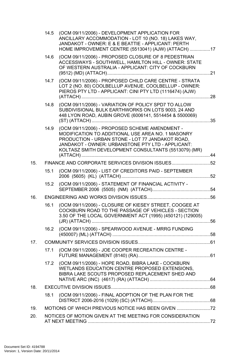|     |      | 14.5 (OCM 09/11/2006) - DEVELOPMENT APPLICATION FOR<br>ANCILLARY ACCOMMODATION - LOT 10 (NO. 18) LAKES WAY,<br>JANDAKOT - OWNER: E & E BEATTIE - APPLICANT: PERTH<br>HOME IMPROVEMENT CENTRE (5513041) (AJW) (ATTACH) 17                                             |  |
|-----|------|----------------------------------------------------------------------------------------------------------------------------------------------------------------------------------------------------------------------------------------------------------------------|--|
|     | 14.6 | (OCM 09/11/2006) - PROPOSED CLOSURE OF 8 PEDESTRIAN<br>ACCESSWAYS - SOUTHWELL, HAMILTON HILL - OWNER: STATE<br>OF WESTERN AUSTRALIA - APPLICANT: CITY OF COCKBURN                                                                                                    |  |
|     | 14.7 | (OCM 09/11/2006) - PROPOSED CHILD CARE CENTRE - STRATA<br>LOT 2 (NO. 80) COOLBELLUP AVENUE, COOLBELLUP - OWNER:<br>PIEROS PTY LTD - APPLICANT: CINI PTY LTD (1116474) (AJW)                                                                                          |  |
|     | 14.8 | (OCM 09/11/2006) - VARIATION OF POLICY SPD7 TO ALLOW<br>SUBDIVISIONAL BULK EARTHWORKS ON LOTS 9003, 24 AND<br>448 LYON ROAD, AUBIN GROVE (6006141, 5514454 & 5500069)                                                                                                |  |
|     | 14.9 | (OCM 09/11/2006) - PROPOSED SCHEME AMENDMENT -<br>MODIFICATION TO ADDITIONAL USE AREA NO. 1 MASONRY<br>PRODUCTION - URBAN STONE - LOT 77 JANDAKOT ROAD,<br>JANDAKOT - OWNER: URBANSTONE PTY LTD - APPLICANT:<br>KOLTASZ SMITH DEVELOPMENT CONSULTANTS (5513079) (MR) |  |
| 15. |      | FINANCE AND CORPORATE SERVICES DIVISION ISSUES52                                                                                                                                                                                                                     |  |
|     | 15.1 | (OCM 09/11/2006) - LIST OF CREDITORS PAID - SEPTEMBER                                                                                                                                                                                                                |  |
|     | 15.2 | (OCM 09/11/2006) - STATEMENT OF FINANCIAL ACTIVITY -                                                                                                                                                                                                                 |  |
| 16. |      |                                                                                                                                                                                                                                                                      |  |
|     | 16.1 | (OCM 09/11/2006) - CLOSURE OF KIESEY STREET, COOGEE AT<br>COCKBURN ROAD TO THE PASSAGE OF VEHICLES - SECTION<br>3.50 OF THE LOCAL GOVERNMENT ACT (1995) (450121) (129005)                                                                                            |  |
|     | 16.2 | (OCM 09/11/2006) - SPEARWOOD AVENUE - MRRG FUNDING                                                                                                                                                                                                                   |  |
| 17. |      |                                                                                                                                                                                                                                                                      |  |
|     | 17.1 | (OCM 09/11/2006) - JOE COOPER RECREATION CENTRE -                                                                                                                                                                                                                    |  |
|     | 17.2 | (OCM 09/11/2006) - HOPE ROAD, BIBRA LAKE - COCKBURN<br>WETLANDS EDUCATION CENTRE PROPOSED EXTENSIONS,<br>BIBRA LAKE SCOUTS PROPOSED REPLACEMENT SHED AND                                                                                                             |  |
| 18. |      |                                                                                                                                                                                                                                                                      |  |
|     | 18.1 | (OCM 09/11/2006) - FINAL ADOPTION OF THE PLAN FOR THE                                                                                                                                                                                                                |  |
| 19. |      | MOTIONS OF WHICH PREVIOUS NOTICE HAS BEEN GIVEN                                                                                                                                                                                                                      |  |
| 20. |      | NOTICES OF MOTION GIVEN AT THE MEETING FOR CONSIDERATION                                                                                                                                                                                                             |  |
|     |      |                                                                                                                                                                                                                                                                      |  |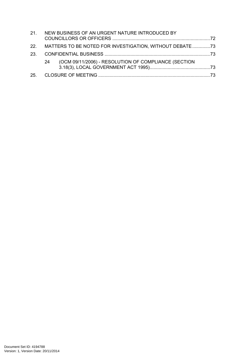| 21. NEW BUSINESS OF AN URGENT NATURE INTRODUCED BY        |                                                      |  |
|-----------------------------------------------------------|------------------------------------------------------|--|
| 22. MATTERS TO BE NOTED FOR INVESTIGATION, WITHOUT DEBATE |                                                      |  |
|                                                           |                                                      |  |
| 24                                                        | (OCM 09/11/2006) - RESOLUTION OF COMPLIANCE (SECTION |  |
|                                                           |                                                      |  |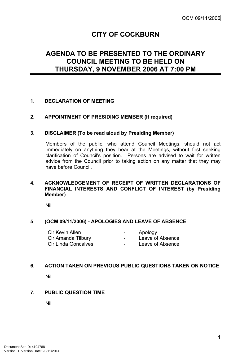# **CITY OF COCKBURN**

# **AGENDA TO BE PRESENTED TO THE ORDINARY COUNCIL MEETING TO BE HELD ON THURSDAY, 9 NOVEMBER 2006 AT 7:00 PM**

## <span id="page-4-0"></span>**1. DECLARATION OF MEETING**

#### <span id="page-4-1"></span>**2. APPOINTMENT OF PRESIDING MEMBER (If required)**

#### <span id="page-4-2"></span>**3. DISCLAIMER (To be read aloud by Presiding Member)**

Members of the public, who attend Council Meetings, should not act immediately on anything they hear at the Meetings, without first seeking clarification of Council's position. Persons are advised to wait for written advice from the Council prior to taking action on any matter that they may have before Council.

#### <span id="page-4-3"></span>**4. ACKNOWLEDGEMENT OF RECEIPT OF WRITTEN DECLARATIONS OF FINANCIAL INTERESTS AND CONFLICT OF INTEREST (by Presiding Member)**

Nil

# <span id="page-4-4"></span>**5 (OCM 09/11/2006) - APOLOGIES AND LEAVE OF ABSENCE**

| <b>CIr Kevin Allen</b>     | $\overline{\phantom{a}}$ | Apology          |
|----------------------------|--------------------------|------------------|
| CIr Amanda Tilbury         | -                        | Leave of Absence |
| <b>CIr Linda Goncalves</b> | $\overline{\phantom{a}}$ | Leave of Absence |

#### <span id="page-4-5"></span>**6. ACTION TAKEN ON PREVIOUS PUBLIC QUESTIONS TAKEN ON NOTICE**

Nil

#### <span id="page-4-6"></span>**7. PUBLIC QUESTION TIME**

<span id="page-4-7"></span>Nil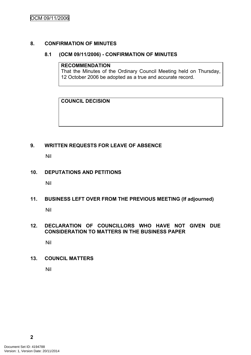#### **8. CONFIRMATION OF MINUTES**

#### <span id="page-5-0"></span>**8.1 (OCM 09/11/2006) - CONFIRMATION OF MINUTES**

#### **RECOMMENDATION**

That the Minutes of the Ordinary Council Meeting held on Thursday, 12 October 2006 be adopted as a true and accurate record.

# **COUNCIL DECISION**

# <span id="page-5-1"></span>**9. WRITTEN REQUESTS FOR LEAVE OF ABSENCE**

Nil

## <span id="page-5-2"></span>**10. DEPUTATIONS AND PETITIONS**

Nil

# <span id="page-5-3"></span>**11. BUSINESS LEFT OVER FROM THE PREVIOUS MEETING (If adjourned)**

Nil

# <span id="page-5-4"></span>**12. DECLARATION OF COUNCILLORS WHO HAVE NOT GIVEN DUE CONSIDERATION TO MATTERS IN THE BUSINESS PAPER**

Nil

#### <span id="page-5-5"></span>**13. COUNCIL MATTERS**

<span id="page-5-6"></span>Nil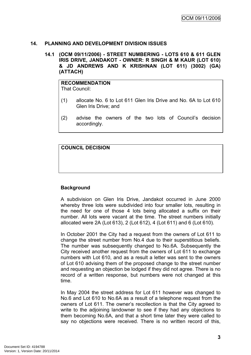#### **14. PLANNING AND DEVELOPMENT DIVISION ISSUES**

<span id="page-6-0"></span>**14.1 (OCM 09/11/2006) - STREET NUMBERING - LOTS 610 & 611 GLEN IRIS DRIVE, JANDAKOT - OWNER: R SINGH & M KAUR (LOT 610) & JD ANDREWS AND K KRISHNAN (LOT 611) (3002) (GA) (ATTACH)**

**RECOMMENDATION** That Council:

- (1) allocate No. 6 to Lot 611 Glen Iris Drive and No. 6A to Lot 610 Glen Iris Drive; and
- (2) advise the owners of the two lots of Council's decision accordingly.

**COUNCIL DECISION**

# **Background**

A subdivision on Glen Iris Drive, Jandakot occurred in June 2000 whereby three lots were subdivided into four smaller lots, resulting in the need for one of those 4 lots being allocated a suffix on their number. All lots were vacant at the time. The street numbers initially allocated were 2A (Lot 613), 2 (Lot 612), 4 (Lot 611) and 6 (Lot 610).

In October 2001 the City had a request from the owners of Lot 611 to change the street number from No.4 due to their superstitious beliefs. The number was subsequently changed to No.6A. Subsequently the City received another request from the owners of Lot 611 to exchange numbers with Lot 610, and as a result a letter was sent to the owners of Lot 610 advising them of the proposed change to the street number and requesting an objection be lodged if they did not agree. There is no record of a written response, but numbers were not changed at this time.

In May 2004 the street address for Lot 611 however was changed to No.6 and Lot 610 to No.6A as a result of a telephone request from the owners of Lot 611. The owner's recollection is that the City agreed to write to the adjoining landowner to see if they had any objections to them becoming No.6A, and that a short time later they were called to say no objections were received. There is no written record of this,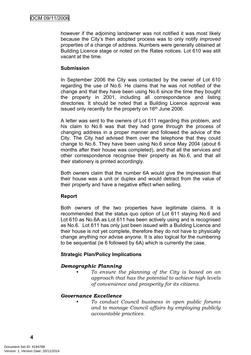however if the adjoining landowner was not notified it was most likely because the City's then adopted process was to only notify *improved* properties of a change of address. Numbers were generally obtained at Building Licence stage or noted on the Rates notices. Lot 610 was still vacant at the time.

## **Submission**

In September 2006 the City was contacted by the owner of Lot 610 regarding the use of No.6. He claims that he was not notified of the change and that they have been using No.6 since the time they bought the property in 2001, including all correspondence and listing directories. It should be noted that a Building Licence approval was issued only recently for the property on 16<sup>th</sup> June 2006.

A letter was sent to the owners of Lot 611 regarding this problem, and his claim to No.6 was that they had gone through the process of changing address in a proper manner and followed the advice of the City. The City had advised them over the telephone that they could change to No.6. They have been using No.6 since May 2004 (about 6 months after their house was completed), and that all the services and other correspondence recognise their property as No.6, and that all their stationery is printed accordingly.

Both owners claim that the number 6A would give the impression that their house was a unit or duplex and would detract from the value of their property and have a negative effect when selling.

# **Report**

Both owners of the two properties have legitimate claims. It is recommended that the status quo option of Lot 611 staying No.6 and Lot 610 as No.6A as Lot 611 has been actively using and is recognised as No.6. Lot 611 has only just been issued with a Building Licence and their house is not yet complete, therefore they do not have to physically change anything nor advise anyone. It is also logical for the numbering to be sequential (ie 6 followed by 6A) which is currently the case.

# **Strategic Plan/Policy Implications**

# *Demographic Planning*

*• To ensure the planning of the City is based on an approach that has the potential to achieve high levels of convenience and prosperity for its citizens.*

#### *Governance Excellence*

*• To conduct Council business in open public forums and to manage Council affairs by employing publicly accountable practices.*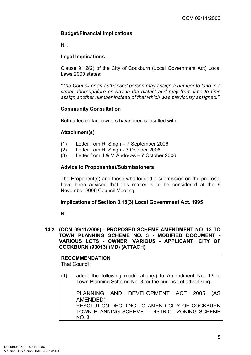# **Budget/Financial Implications**

Nil.

# **Legal Implications**

Clause 9.12(2) of the City of Cockburn (Local Government Act) Local Laws 2000 states:

*"The Council or an authorised person may assign a number to land in a street, thoroughfare or way in the district and may from time to time assign another number instead of that which was previously assigned."*

## **Community Consultation**

Both affected landowners have been consulted with.

## **Attachment(s)**

- (1) Letter from R. Singh 7 September 2006
- (2) Letter from R. Singh 3 October 2006
- (3) Letter from J & M Andrews 7 October 2006

#### **Advice to Proponent(s)/Submissioners**

The Proponent(s) and those who lodged a submission on the proposal have been advised that this matter is to be considered at the 9 November 2006 Council Meeting.

#### **Implications of Section 3.18(3) Local Government Act, 1995**

Nil.

#### <span id="page-8-0"></span>**14.2 (OCM 09/11/2006) - PROPOSED SCHEME AMENDMENT NO. 13 TO TOWN PLANNING SCHEME NO. 3 - MODIFIED DOCUMENT - VARIOUS LOTS - OWNER: VARIOUS - APPLICANT: CITY OF COCKBURN (93013) (MD) (ATTACH)**

# **RECOMMENDATION**

That Council:

(1) adopt the following modification(s) to Amendment No. 13 to Town Planning Scheme No. 3 for the purpose of advertising:-

PLANNING AND DEVELOPMENT ACT 2005 (AS AMENDED) RESOLUTION DECIDING TO AMEND CITY OF COCKBURN TOWN PLANNING SCHEME – DISTRICT ZONING SCHEME NO. 3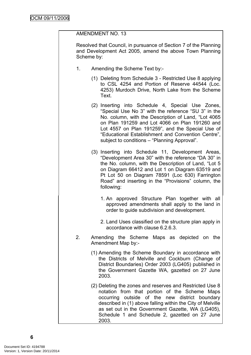# AMENDMENT NO. 13

Resolved that Council, in pursuance of Section 7 of the Planning and Development Act 2005, amend the above Town Planning Scheme by:

- 1. Amending the Scheme Text by:-
	- (1) Deleting from Schedule 3 Restricted Use 8 applying to CSL 4254 and Portion of Reserve 44544 (Loc. 4253) Murdoch Drive, North Lake from the Scheme Text.
	- (2) Inserting into Schedule 4, Special Use Zones, "Special Use No 3" with the reference "SU 3" in the No. column, with the Description of Land, "Lot 4065 on Plan 191259 and Lot 4066 on Plan 191260 and Lot 4557 on Plan 191259", and the Special Use of "Educational Establishment and Convention Centre", subject to conditions – "Planning Approval".
	- (3) Inserting into Schedule 11, Development Areas, "Development Area 30" with the reference "DA 30" in the No. column, with the Description of Land, "Lot 5 on Diagram 66412 and Lot 1 on Diagram 63519 and Pt Lot 50 on Diagram 78591 (Loc 630) Farrington Road" and inserting in the "Provisions" column, the following:
		- 1. An approved Structure Plan together with all approved amendments shall apply to the land in order to guide subdivision and development.
		- 2. Land Uses classified on the structure plan apply in accordance with clause 6.2.6.3.
- 2. Amending the Scheme Maps as depicted on the Amendment Map by:-
	- (1) Amending the Scheme Boundary in accordance with the Districts of Melville and Cockburn (Change of District Boundaries) Order 2003 (LG405) published in the Government Gazette WA, gazetted on 27 June 2003.
	- (2) Deleting the zones and reserves and Restricted Use 8 notation from that portion of the Scheme Maps occurring outside of the new district boundary described in (1) above falling within the City of Melville as set out in the Government Gazette, WA (LG405), Schedule 1 and Schedule 2, gazetted on 27 June 2003.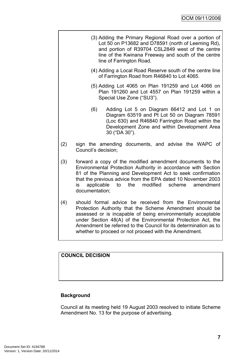- (3) Adding the Primary Regional Road over a portion of Lot 50 on P13682 and D78591 (north of Leeming Rd), and portion of R39704 CSL2849 west of the centre line of the Kwinana Freeway and south of the centre line of Farrington Road.
- (4) Adding a Local Road Reserve south of the centre line of Farrington Road from R46840 to Lot 4065.
- (5) Adding Lot 4065 on Plan 191259 and Lot 4066 on Plan 191260 and Lot 4557 on Plan 191259 within a Special Use Zone ("SU3").
- (6) Adding Lot 5 on Diagram 66412 and Lot 1 on Diagram 63519 and Pt Lot 50 on Diagram 78591 (Loc 630) and R46840 Farrington Road within the Development Zone and within Development Area 30 ("DA 30").
- (2) sign the amending documents, and advise the WAPC of Council's decision;
- (3) forward a copy of the modified amendment documents to the Environmental Protection Authority in accordance with Section 81 of the Planning and Development Act to seek confirmation that the previous advice from the EPA dated 10 November 2003 is applicable to the modified scheme amendment documentation;
- (4) should formal advice be received from the Environmental Protection Authority that the Scheme Amendment should be assessed or is incapable of being environmentally acceptable under Section 48(A) of the Environmental Protection Act, the Amendment be referred to the Council for its determination as to whether to proceed or not proceed with the Amendment.

# **COUNCIL DECISION**

# **Background**

Council at its meeting held 19 August 2003 resolved to initiate Scheme Amendment No. 13 for the purpose of advertising.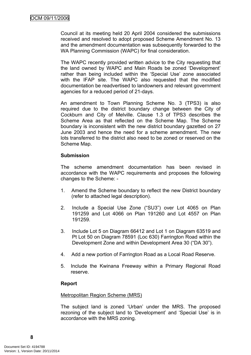Council at its meeting held 20 April 2004 considered the submissions received and resolved to adopt proposed Scheme Amendment No. 13 and the amendment documentation was subsequently forwarded to the WA Planning Commission (WAPC) for final consideration.

The WAPC recently provided written advice to the City requesting that the land owned by WAPC and Main Roads be zoned 'Development' rather than being included within the 'Special Use' zone associated with the IFAP site. The WAPC also requested that the modified documentation be readvertised to landowners and relevant government agencies for a reduced period of 21-days.

An amendment to Town Planning Scheme No. 3 (TPS3) is also required due to the district boundary change between the City of Cockburn and City of Melville. Clause 1.3 of TPS3 describes the Scheme Area as that reflected on the Scheme Map. The Scheme boundary is inconsistent with the new district boundary gazetted on 27 June 2003 and hence the need for a scheme amendment. The new lots transferred to the district also need to be zoned or reserved on the Scheme Map.

#### **Submission**

The scheme amendment documentation has been revised in accordance with the WAPC requirements and proposes the following changes to the Scheme: -

- 1. Amend the Scheme boundary to reflect the new District boundary (refer to attached legal description).
- 2. Include a Special Use Zone ("SU3") over Lot 4065 on Plan 191259 and Lot 4066 on Plan 191260 and Lot 4557 on Plan 191259.
- 3. Include Lot 5 on Diagram 66412 and Lot 1 on Diagram 63519 and Pt Lot 50 on Diagram 78591 (Loc 630) Farrington Road within the Development Zone and within Development Area 30 ("DA 30").
- 4. Add a new portion of Farrington Road as a Local Road Reserve.
- 5. Include the Kwinana Freeway within a Primary Regional Road reserve.

#### **Report**

#### Metropolitan Region Scheme (MRS)

The subject land is zoned 'Urban' under the MRS. The proposed rezoning of the subject land to 'Development' and 'Special Use' is in accordance with the MRS zoning.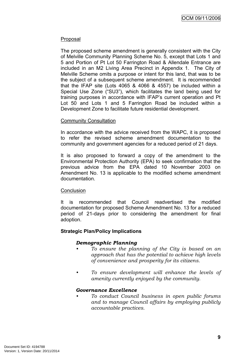#### Proposal

The proposed scheme amendment is generally consistent with the City of Melville Community Planning Scheme No. 5, except that Lots 1 and 5 and Portion of Pt Lot 50 Farrington Road & Allendale Entrance are included in an M2 Living Area Precinct in Appendix 1. The City of Melville Scheme omits a purpose or intent for this land, that was to be the subject of a subsequent scheme amendment. It is recommended that the IFAP site (Lots 4065 & 4066 & 4557) be included within a Special Use Zone ("SU3"), which facilitates the land being used for training purposes in accordance with IFAP's current operation and Pt Lot 50 and Lots 1 and 5 Farrington Road be included within a Development Zone to facilitate future residential development.

## Community Consultation

In accordance with the advice received from the WAPC, it is proposed to refer the revised scheme amendment documentation to the community and government agencies for a reduced period of 21 days.

It is also proposed to forward a copy of the amendment to the Environmental Protection Authority (EPA) to seek confirmation that the previous advice from the EPA dated 10 November 2003 on Amendment No. 13 is applicable to the modified scheme amendment documentation.

#### **Conclusion**

It is recommended that Council readvertised the modified documentation for proposed Scheme Amendment No. 13 for a reduced period of 21-days prior to considering the amendment for final adoption.

# **Strategic Plan/Policy Implications**

#### *Demographic Planning*

- *• To ensure the planning of the City is based on an approach that has the potential to achieve high levels of convenience and prosperity for its citizens.*
- *• To ensure development will enhance the levels of amenity currently enjoyed by the community.*

#### *Governance Excellence*

*• To conduct Council business in open public forums and to manage Council affairs by employing publicly accountable practices.*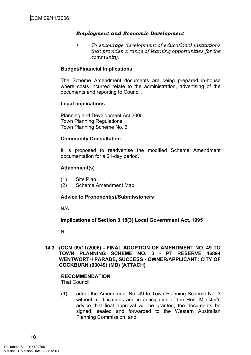## *Employment and Economic Development*

*• To encourage development of educational institutions that provides a range of learning opportunities for the community.*

#### **Budget/Financial Implications**

The Scheme Amendment documents are being prepared in-house where costs incurred relate to the administration, advertising of the documents and reporting to Council.

#### **Legal Implications**

Planning and Development Act 2005 Town Planning Regulations Town Planning Scheme No. 3

#### **Community Consultation**

It is proposed to readvertise the modified Scheme Amendment documentation for a 21-day period.

#### **Attachment(s)**

- (1) Site Plan
- (2) Scheme Amendment Map

#### **Advice to Proponent(s)/Submissioners**

N/A

#### **Implications of Section 3.18(3) Local Government Act, 1995**

Nil.

#### <span id="page-13-0"></span>**14.3 (OCM 09/11/2006) - FINAL ADOPTION OF AMENDMENT NO. 49 TO TOWN PLANNING SCHEME NO. 3 - PT RESERVE 46894 WENTWORTH PARADE, SUCCESS - OWNER/APPLICANT: CITY OF COCKBURN (93049) (MD) (ATTACH)**

#### **RECOMMENDATION** That Council:

(1) adopt the Amendment No. 49 to Town Planning Scheme No. 3 without modifications and in anticipation of the Hon. Minister's advice that final approval will be granted, the documents be signed, sealed and forwarded to the Western Australian Planning Commission; and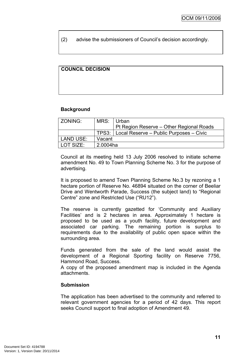(2) advise the submissioners of Council's decision accordingly.

#### **COUNCIL DECISION**

#### **Background**

| ZONING:   | MRS:     | ∣ Urban                                         |  |
|-----------|----------|-------------------------------------------------|--|
|           |          | Pt Region Reserve – Other Regional Roads        |  |
|           |          | TPS3:   Local Reserve - Public Purposes - Civic |  |
| LAND USE: | Vacant   |                                                 |  |
| LOT SIZE: | 2.0004ha |                                                 |  |

Council at its meeting held 13 July 2006 resolved to initiate scheme amendment No. 49 to Town Planning Scheme No. 3 for the purpose of advertising.

It is proposed to amend Town Planning Scheme No.3 by rezoning a 1 hectare portion of Reserve No. 46894 situated on the corner of Beeliar Drive and Wentworth Parade, Success (the subject land) to "Regional Centre" zone and Restricted Use ("RU12").

The reserve is currently gazetted for 'Community and Auxiliary Facilities' and is 2 hectares in area. Approximately 1 hectare is proposed to be used as a youth facility, future development and associated car parking. The remaining portion is surplus to requirements due to the availability of public open space within the surrounding area.

Funds generated from the sale of the land would assist the development of a Regional Sporting facility on Reserve 7756, Hammond Road, Success.

A copy of the proposed amendment map is included in the Agenda attachments.

#### **Submission**

The application has been advertised to the community and referred to relevant government agencies for a period of 42 days. This report seeks Council support to final adoption of Amendment 49.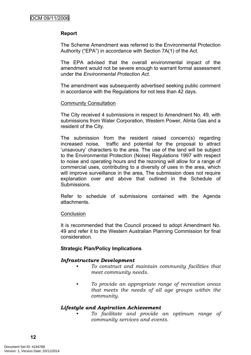## **Report**

The Scheme Amendment was referred to the Environmental Protection Authority ("EPA") in accordance with Section 7A(1) of the Act.

The EPA advised that the overall environmental impact of the amendment would not be severe enough to warrant formal assessment under the *Environmental Protection Act*.

The amendment was subsequently advertised seeking public comment in accordance with the Regulations for not less than 42 days.

#### Community Consultation

The City received 4 submissions in respect to Amendment No. 49, with submissions from Water Corporation, Western Power, Alinta Gas and a resident of the City.

The submission from the resident raised concern(s) regarding increased noise, traffic and potential for the proposal to attract 'unsavoury' characters to the area. The use of the land will be subject to the Environmental Protection (Noise) Regulations 1997 with respect to noise and operating hours and the rezoning will allow for a range of commercial uses, contributing to a diversity of uses in the area, which will improve surveillance in the area, The submission does not require explanation over and above that outlined in the Schedule of Submissions.

Refer to schedule of submissions contained with the Agenda attachments.

#### **Conclusion**

It is recommended that the Council proceed to adopt Amendment No. 49 and refer it to the Western Australian Planning Commission for final consideration.

#### **Strategic Plan/Policy Implications**

#### *Infrastructure Development*

- *• To construct and maintain community facilities that meet community needs.*
- *• To provide an appropriate range of recreation areas that meets the needs of all age groups within the community.*

#### *Lifestyle and Aspiration Achievement*

*• To facilitate and provide an optimum range of community services and events.*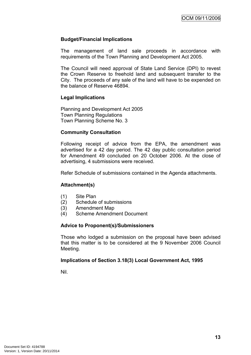#### **Budget/Financial Implications**

The management of land sale proceeds in accordance with requirements of the Town Planning and Development Act 2005.

The Council will need approval of State Land Service (DPI) to revest the Crown Reserve to freehold land and subsequent transfer to the City. The proceeds of any sale of the land will have to be expended on the balance of Reserve 46894.

## **Legal Implications**

Planning and Development Act 2005 Town Planning Regulations Town Planning Scheme No. 3

## **Community Consultation**

Following receipt of advice from the EPA, the amendment was advertised for a 42 day period. The 42 day public consultation period for Amendment 49 concluded on 20 October 2006. At the close of advertising, 4 submissions were received.

Refer Schedule of submissions contained in the Agenda attachments.

#### **Attachment(s)**

- (1) Site Plan
- (2) Schedule of submissions
- (3) Amendment Map
- (4) Scheme Amendment Document

#### **Advice to Proponent(s)/Submissioners**

Those who lodged a submission on the proposal have been advised that this matter is to be considered at the 9 November 2006 Council Meeting.

#### **Implications of Section 3.18(3) Local Government Act, 1995**

Nil.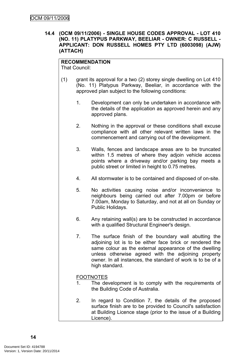<span id="page-17-0"></span>**14.4 (OCM 09/11/2006) - SINGLE HOUSE CODES APPROVAL - LOT 410 (NO. 11) PLATYPUS PARKWAY, BEELIAR - OWNER: C RUSSELL - APPLICANT: DON RUSSELL HOMES PTY LTD (6003098) (AJW) (ATTACH)**

#### **RECOMMENDATION**

That Council:

- (1) grant its approval for a two (2) storey single dwelling on Lot 410 (No. 11) Platypus Parkway, Beeliar, in accordance with the approved plan subject to the following conditions:
	- 1. Development can only be undertaken in accordance with the details of the application as approved herein and any approved plans.
	- 2. Nothing in the approval or these conditions shall excuse compliance with all other relevant written laws in the commencement and carrying out of the development.
	- 3. Walls, fences and landscape areas are to be truncated within 1.5 metres of where they adjoin vehicle access points where a driveway and/or parking bay meets a public street or limited in height to 0.75 metres.
	- 4. All stormwater is to be contained and disposed of on-site.
	- 5. No activities causing noise and/or inconvenience to neighbours being carried out after 7.00pm or before 7.00am, Monday to Saturday, and not at all on Sunday or Public Holidays.
	- 6. Any retaining wall(s) are to be constructed in accordance with a qualified Structural Engineer's design.
	- 7. The surface finish of the boundary wall abutting the adjoining lot is to be either face brick or rendered the same colour as the external appearance of the dwelling unless otherwise agreed with the adjoining property owner. In all instances, the standard of work is to be of a high standard.

#### FOOTNOTES

- 1. The development is to comply with the requirements of the Building Code of Australia.
- 2. In regard to Condition 7, the details of the proposed surface finish are to be provided to Council's satisfaction at Building Licence stage (prior to the issue of a Building Licence).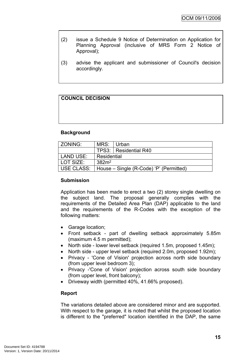- (2) issue a Schedule 9 Notice of Determination on Application for Planning Approval (inclusive of MRS Form 2 Notice of Approval);
- (3) advise the applicant and submissioner of Council's decision accordingly.

# **COUNCIL DECISION**

# **Background**

| ZONING:    | MRS: Urban                              |                         |  |
|------------|-----------------------------------------|-------------------------|--|
|            |                                         | TPS3:   Residential R40 |  |
| LAND USE:  | Residential                             |                         |  |
| LOT SIZE:  | $382m^2$                                |                         |  |
| USE CLASS: | House – Single (R-Code) 'P' (Permitted) |                         |  |

# **Submission**

Application has been made to erect a two (2) storey single dwelling on the subject land. The proposal generally complies with the requirements of the Detailed Area Plan (DAP) applicable to the land and the requirements of the R-Codes with the exception of the following matters:

- Garage location;
- Front setback part of dwelling setback approximately 5.85m (maximum 4.5 m permitted);
- North side lower level setback (required 1.5m, proposed 1.45m);
- North side upper level setback (required 2.0m, proposed 1.92m);
- Privacy 'Cone of Vision' projection across north side boundary (from upper level bedroom 3);
- Privacy -'Cone of Vision' projection across south side boundary (from upper level, front balcony);
- Driveway width (permitted 40%, 41.66% proposed).

#### **Report**

The variations detailed above are considered minor and are supported. With respect to the garage, it is noted that whilst the proposed location is different to the "preferred" location identified in the DAP, the same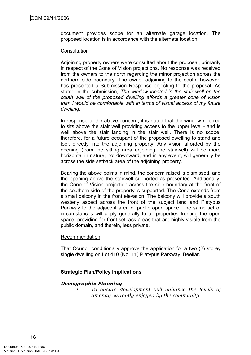document provides scope for an alternate garage location. The proposed location is in accordance with the alternate location.

#### **Consultation**

Adjoining property owners were consulted about the proposal, primarily in respect of the Cone of Vision projections. No response was received from the owners to the north regarding the minor projection across the northern side boundary. The owner adjoining to the south, however, has presented a Submission Response objecting to the proposal. As stated in the submission, *The window located in the stair well on the south wall of the proposed dwelling affords a greater cone of vision than I would be comfortable with in terms of visual access of my future dwelling.*

In response to the above concern, it is noted that the window referred to sits above the stair well providing access to the upper level - and is well above the stair landing in the stair well. There is no scope, therefore, for a future occupant of the proposed dwelling to stand and look directly into the adjoining property. Any vision afforded by the opening (from the sitting area adjoining the stairwell) will be more horizontal in nature, not downward, and in any event, will generally be across the side setback area of the adjoining property.

Bearing the above points in mind, the concern raised is dismissed, and the opening above the stairwell supported as presented. Additionally, the Cone of Vision projection across the side boundary at the front of the southern side of the property is supported. The Cone extends from a small balcony in the front elevation. The balcony will provide a south westerly aspect across the front of the subject land and Platypus Parkway to the adjacent area of public open space. The same set of circumstances will apply generally to all properties fronting the open space, providing for front setback areas that are highly visible from the public domain, and therein, less private.

#### Recommendation

That Council conditionally approve the application for a two (2) storey single dwelling on Lot 410 (No. 11) Platypus Parkway, Beeliar.

# **Strategic Plan/Policy Implications**

# *Demographic Planning*

*• To ensure development will enhance the levels of amenity currently enjoyed by the community.*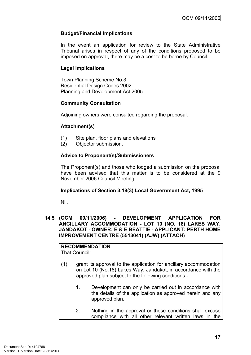## **Budget/Financial Implications**

In the event an application for review to the State Administrative Tribunal arises in respect of any of the conditions proposed to be imposed on approval, there may be a cost to be borne by Council.

## **Legal Implications**

Town Planning Scheme No.3 Residential Design Codes 2002 Planning and Development Act 2005

#### **Community Consultation**

Adjoining owners were consulted regarding the proposal.

## **Attachment(s)**

- (1) Site plan, floor plans and elevations
- (2) Objector submission.

# **Advice to Proponent(s)/Submissioners**

The Proponent(s) and those who lodged a submission on the proposal have been advised that this matter is to be considered at the 9 November 2006 Council Meeting.

# **Implications of Section 3.18(3) Local Government Act, 1995**

Nil.

#### <span id="page-20-0"></span>**14.5 (OCM 09/11/2006) - DEVELOPMENT APPLICATION FOR ANCILLARY ACCOMMODATION - LOT 10 (NO. 18) LAKES WAY, JANDAKOT - OWNER: E & E BEATTIE - APPLICANT: PERTH HOME IMPROVEMENT CENTRE (5513041) (AJW) (ATTACH)**

#### **RECOMMENDATION** That Council:

- (1) grant its approval to the application for ancillary accommodation on Lot 10 (No.18) Lakes Way, Jandakot, in accordance with the approved plan subject to the following conditions:-
	- 1. Development can only be carried out in accordance with the details of the application as approved herein and any approved plan.
	- 2. Nothing in the approval or these conditions shall excuse compliance with all other relevant written laws in the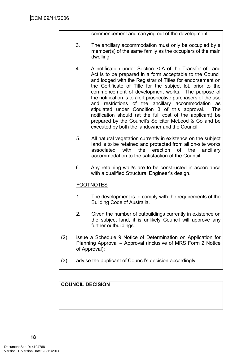commencement and carrying out of the development.

- 3. The ancillary accommodation must only be occupied by a member(s) of the same family as the occupiers of the main dwelling.
- 4. A notification under Section 70A of the Transfer of Land Act is to be prepared in a form acceptable to the Council and lodged with the Registrar of Titles for endorsement on the Certificate of Title for the subject lot, prior to the commencement of development works. The purpose of the notification is to alert prospective purchasers of the use and restrictions of the ancillary accommodation as stipulated under Condition 3 of this approval. The notification should (at the full cost of the applicant) be prepared by the Council's Solicitor McLeod & Co and be executed by both the landowner and the Council.
- 5. All natural vegetation currently in existence on the subject land is to be retained and protected from all on-site works associated with the erection of the ancillary accommodation to the satisfaction of the Council.
- 6. Any retaining wall/s are to be constructed in accordance with a qualified Structural Engineer's design.

# FOOTNOTES

- 1. The development is to comply with the requirements of the Building Code of Australia.
- 2. Given the number of outbuildings currently in existence on the subject land, it is unlikely Council will approve any further outbuildings.
- (2) issue a Schedule 9 Notice of Determination on Application for Planning Approval – Approval (inclusive of MRS Form 2 Notice of Approval);
- (3) advise the applicant of Council's decision accordingly.

# **COUNCIL DECISION**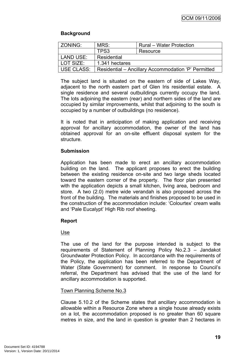## **Background**

| ZONING:    | MRS:                                                | <b>Rural – Water Protection</b> |  |
|------------|-----------------------------------------------------|---------------------------------|--|
|            | TPS3                                                | Resource                        |  |
| LAND USE:  | Residential                                         |                                 |  |
| LOT SIZE:  | 1.341 hectares                                      |                                 |  |
| USE CLASS: | Residential – Ancillary Accommodation 'P' Permitted |                                 |  |

The subject land is situated on the eastern of side of Lakes Way, adjacent to the north eastern part of Glen Iris residential estate. A single residence and several outbuildings currently occupy the land. The lots adjoining the eastern (rear) and northern sides of the land are occupied by similar improvements, whilst that adjoining to the south is occupied by a number of outbuildings (no residence).

It is noted that in anticipation of making application and receiving approval for ancillary accommodation, the owner of the land has obtained approval for an on-site effluent disposal system for the structure.

#### **Submission**

Application has been made to erect an ancillary accommodation building on the land. The applicant proposes to erect the building between the existing residence on-site and two large sheds located toward the eastern corner of the property. The floor plan presented with the application depicts a small kitchen, living area, bedroom and store. A two (2.0) metre wide verandah is also proposed across the front of the building. The materials and finishes proposed to be used in the construction of the accommodation include: 'Colourtex' cream walls and 'Pale Eucalypt' High Rib roof sheeting.

# **Report**

# Use

The use of the land for the purpose intended is subject to the requirements of Statement of Planning Policy No.2.3 – Jandakot Groundwater Protection Policy. In accordance with the requirements of the Policy, the application has been referred to the Department of Water (State Government) for comment. In response to Council's referral, the Department has advised that the use of the land for ancillary accommodation is supported.

#### Town Planning Scheme No.3

Clause 5.10.2 of the Scheme states that ancillary accommodation is allowable within a Resource Zone where a single house already exists on a lot, the accommodation proposed is no greater than 60 square metres in size, and the land in question is greater than 2 hectares in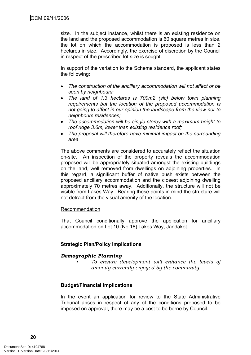size. In the subject instance, whilst there is an existing residence on the land and the proposed accommodation is 60 square metres in size, the lot on which the accommodation is proposed is less than 2 hectares in size. Accordingly, the exercise of discretion by the Council in respect of the prescribed lot size is sought.

In support of the variation to the Scheme standard, the applicant states the following:

- *The construction of the ancillary accommodation will not affect or be seen by neighbours;*
- *The land of 1.3 hectares is 700m2 (sic) below town planning requirements but the location of the proposed accommodation is not going to affect in our opinion the landscape from the view nor to neighbours residences;*
- *The accommodation will be single storey with a maximum height to roof ridge 3.6m, lower than existing residence roof;*
- *The proposal will therefore have minimal impact on the surrounding area.*

The above comments are considered to accurately reflect the situation on-site. An inspection of the property reveals the accommodation proposed will be appropriately situated amongst the existing buildings on the land, well removed from dwellings on adjoining properties. In this regard, a significant buffer of native bush exists between the proposed ancillary accommodation and the closest adjoining dwelling approximately 70 metres away. Additionally, the structure will not be visible from Lakes Way. Bearing these points in mind the structure will not detract from the visual amenity of the location.

#### Recommendation

That Council conditionally approve the application for ancillary accommodation on Lot 10 (No.18) Lakes Way, Jandakot.

# **Strategic Plan/Policy Implications**

# *Demographic Planning*

*• To ensure development will enhance the levels of amenity currently enjoyed by the community.*

#### **Budget/Financial Implications**

In the event an application for review to the State Administrative Tribunal arises in respect of any of the conditions proposed to be imposed on approval, there may be a cost to be borne by Council.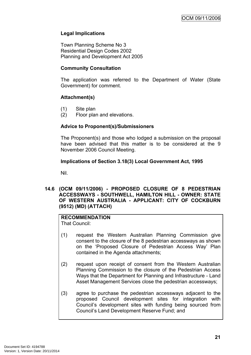## **Legal Implications**

Town Planning Scheme No 3 Residential Design Codes 2002 Planning and Development Act 2005

#### **Community Consultation**

The application was referred to the Department of Water (State Government) for comment.

## **Attachment(s)**

- (1) Site plan
- (2) Floor plan and elevations.

## **Advice to Proponent(s)/Submissioners**

The Proponent(s) and those who lodged a submission on the proposal have been advised that this matter is to be considered at the 9 November 2006 Council Meeting.

## **Implications of Section 3.18(3) Local Government Act, 1995**

Nil.

<span id="page-24-0"></span>**14.6 (OCM 09/11/2006) - PROPOSED CLOSURE OF 8 PEDESTRIAN ACCESSWAYS - SOUTHWELL, HAMILTON HILL - OWNER: STATE OF WESTERN AUSTRALIA - APPLICANT: CITY OF COCKBURN (9512) (MD) (ATTACH)**

#### **RECOMMENDATION** That Council:

- (1) request the Western Australian Planning Commission give consent to the closure of the 8 pedestrian accessways as shown on the 'Proposed Closure of Pedestrian Access Way' Plan contained in the Agenda attachments;
- (2) request upon receipt of consent from the Western Australian Planning Commission to the closure of the Pedestrian Access Ways that the Department for Planning and Infrastructure - Land Asset Management Services close the pedestrian accessways;
- (3) agree to purchase the pedestrian accessways adjacent to the proposed Council development sites for integration with Council's development sites with funding being sourced from Council's Land Development Reserve Fund; and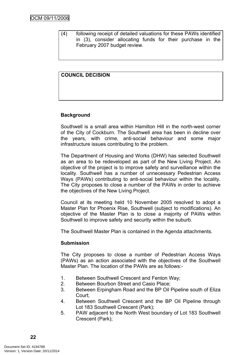(4) following receipt of detailed valuations for these PAWs identified in (3), consider allocating funds for their purchase in the February 2007 budget review.

## **COUNCIL DECISION**

#### **Background**

Southwell is a small area within Hamilton Hill in the north-west corner of the City of Cockburn. The Southwell area has been in decline over the years, with crime, anti-social behaviour and some major infrastructure issues contributing to the problem.

The Department of Housing and Works (DHW) has selected Southwell as an area to be redeveloped as part of the New Living Project. An objective of the project is to improve safety and surveillance within the locality. Southwell has a number of unnecessary Pedestrian Access Ways (PAWs) contributing to anti-social behaviour within the locality. The City proposes to close a number of the PAWs in order to achieve the objectives of the New Living Project.

Council at its meeting held 10 November 2005 resolved to adopt a Master Plan for Phoenix Rise, Southwell (subject to modifications). An objective of the Master Plan is to close a majority of PAWs within Southwell to improve safety and security within the suburb.

The Southwell Master Plan is contained in the Agenda attachments.

#### **Submission**

The City proposes to close a number of Pedestrian Access Ways (PAWs) as an action associated with the objectives of the Southwell Master Plan. The location of the PAWs are as follows:-

- 1. Between Southwell Crescent and Fenton Way;
- 2. Between Bourbon Street and Casio Place;
- 3. Between Erpingham Road and the BP Oil Pipeline south of Eliza Court;
- 4. Between Southwell Crescent and the BP Oil Pipeline through Lot 183 Southwell Crescent (Park);
- 5. PAW adjacent to the North West boundary of Lot 183 Southwell Crescent (Park);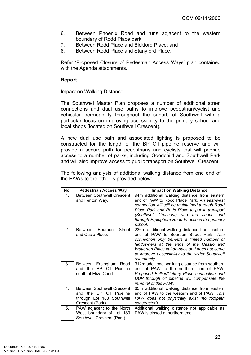- 6. Between Phoenix Road and runs adjacent to the western boundary of Rodd Place park;
- 7. Between Rodd Place and Bickford Place; and
- 8. Between Rodd Place and Stanyford Place.

Refer 'Proposed Closure of Pedestrian Access Ways' plan contained with the Agenda attachments.

#### **Report**

#### Impact on Walking Distance

The Southwell Master Plan proposes a number of additional street connections and dual use paths to improve pedestrian/cyclist and vehicular permeability throughout the suburb of Southwell with a particular focus on improving accessibility to the primary school and local shops (located on Southwell Crescent).

A new dual use path and associated lighting is proposed to be constructed for the length of the BP Oil pipeline reserve and will provide a secure path for pedestrians and cyclists that will provide access to a number of parks, including Goodchild and Southwell Park and will also improve access to public transport on Southwell Crescent.

The following analysis of additional walking distance from one end of the PAWs to the other is provided below:

| No.            | <b>Pedestrian Access Way</b>                                                                                  | <b>Impact on Walking Distance</b>                                                                                                                                                                                                                                                                       |
|----------------|---------------------------------------------------------------------------------------------------------------|---------------------------------------------------------------------------------------------------------------------------------------------------------------------------------------------------------------------------------------------------------------------------------------------------------|
| 1 <sub>1</sub> | <b>Between Southwell Crescent</b><br>and Fenton Way.                                                          | 94m additional walking distance from eastern<br>end of PAW to Rodd Place Park. An east-west<br>connection will still be maintained through Rodd<br>Place Park and Rodd Place to public transport<br>(Southwell Crescent) and the shops and<br>through Erpingham Road to access the primary<br>school.   |
| $\mathcal{P}$  | Bourbon<br>Street<br>Between<br>and Casio Place.                                                              | 236m additional walking distance from eastern<br>end of PAW to Bourbon Street Park. This<br>connection only benefits a limited number of<br>landowners at the ends of the Cassio and<br>Watterton Place cul-de-sacs and does not serve<br>to improve accessibility to the wider Southwell<br>community. |
| 3.             | Between Erpingham Road<br>and the BP Oil Pipeline<br>south of Eliza Court.                                    | 312m additional walking distance from southern<br>end of PAW to the northern end of PAW.<br>Proposed Bellier/Caffery Place connection and<br>DUP through oil pipeline will compensate the<br>removal of this PAW.                                                                                       |
| 4 <sub>1</sub> | <b>Between Southwell Crescent</b><br>and the BP Oil Pipeline<br>through Lot 183 Southwell<br>Crescent (Park). | 65m additional walking distance from eastern<br>end of PAW to the western end of PAW. This<br>PAW does not physically exist (no footpath<br>constructed).                                                                                                                                               |
| 5.             | PAW adjacent to the North<br>West boundary of Lot 183<br>Southwell Crescent (Park).                           | Additional walking distance not applicable as<br>PAW is closed at northern end.                                                                                                                                                                                                                         |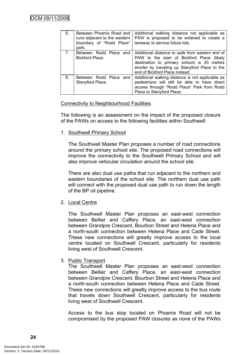| 6.             | Between Phoenix Road and<br>runs adjacent to the western<br>boundary of "Rodd Place"<br>park. | Additional walking distance not applicable as<br>PAW is proposed to be widened to create a<br>laneway to service future lots.                                                                                                    |
|----------------|-----------------------------------------------------------------------------------------------|----------------------------------------------------------------------------------------------------------------------------------------------------------------------------------------------------------------------------------|
| 7 <sub>1</sub> | Between Rodd Place and<br>Bickford Place.                                                     | Additional distance to walk from eastern end of<br>PAW to the start of Bickford Place (likely<br>destination to primary school) is 20 metres<br>shorter by traveling up Stanyford Place to the<br>end of Bickford Place instead. |
| 8.             | Between Rodd Place and<br>Stanyford Place.                                                    | Additional walking distance is not applicable as<br>pedestrians will still be able to have direct<br>access through "Rodd Place" Park from Rodd<br>Place to Stanyford Place.                                                     |

#### Connectivity to Neighbourhood Facilities

The following is an assessment on the impact of the proposed closure of the PAWs on access to the following facilities within Southwell:

1. Southwell Primary School

The Southwell Master Plan proposes a number of road connections around the primary school site. The proposed road connections will improve the connectivity to the Southwell Primary School and will also improve vehicular circulation around the school site.

There are also dual use paths that run adjacent to the northern and eastern boundaries of the school site. The northern dual use path will connect with the proposed dual use path to run down the length of the BP oil pipeline.

# 2. Local Centre

The Southwell Master Plan proposes an east-west connection between Bellier and Caffery Place, an east-west connection between Grandpre Crescent, Bourbon Street and Helena Place and a north-south connection between Helena Place and Cade Street. These new connections will greatly improve access to the local centre located on Southwell Crescent, particularly for residents living west of Southwell Crescent.

# 3. Public Transport

The Southwell Master Plan proposes an east-west connection between Bellier and Caffery Place, an east-west connection between Grandpre Crescent, Bourbon Street and Helena Place and a north-south connection between Helena Place and Cade Street. These new connections will greatly improve access to the bus route that travels down Southwell Crescent, particularly for residents living west of Southwell Crescent.

Access to the bus stop located on Phoenix Road will not be compromised by the proposed PAW closures as none of the PAWs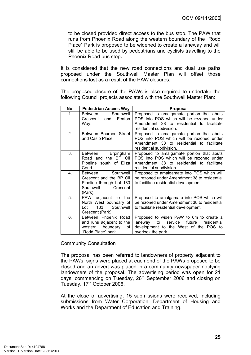to be closed provided direct access to the bus stop. The PAW that runs from Phoenix Road along the western boundary of the "Rodd Place" Park is proposed to be widened to create a laneway and will still be able to be used by pedestrians and cyclists travelling to the Phoenix Road bus stop**.**

It is considered that the new road connections and dual use paths proposed under the Southwell Master Plan will offset those connections lost as a result of the PAW closures.

The proposed closure of the PAWs is also required to undertake the following Council projects associated with the Southwell Master Plan:

| No. | <b>Pedestrian Access Way</b>                                                                                    | <b>Proposal</b>                                                                                                                                                |
|-----|-----------------------------------------------------------------------------------------------------------------|----------------------------------------------------------------------------------------------------------------------------------------------------------------|
| 1.  | Southwell<br>Between<br>Fenton<br>and<br>Crescent<br>Way.                                                       | Proposed to amalgamate portion that abuts<br>POS into POS which will be rezoned under<br>Amendment 38 to residential to facilitate<br>residential subdivision. |
| 2.  | Between Bourbon Street<br>and Casio Place.                                                                      | Proposed to amalgamate portion that abuts<br>POS into POS which will be rezoned under<br>Amendment 38 to residential to facilitate<br>residential subdivision. |
| 3.  | Erpingham<br>Between<br>Road and the BP Oil<br>Pipeline south of Eliza<br>Court.                                | Proposed to amalgamate portion that abuts<br>POS into POS which will be rezoned under<br>Amendment 38 to residential to facilitate<br>residential subdivision. |
| 4.  | Southwell<br>Between<br>Crescent and the BP Oil<br>Pipeline through Lot 183<br>Southwell<br>Crescent<br>(Park). | Proposed to amalgamate into POS which will<br>be rezoned under Amendment 38 to residential<br>to facilitate residential development.                           |
| 5.  | PAW adjacent to<br>the<br>North West boundary of<br>Southwell<br>Lot<br>Crescent (Park).                        | Proposed to amalgamate into POS which will<br>be rezoned under Amendment 38 to residential<br>to facilitate residential development.                           |
| 6.  | Between Phoenix Road<br>and runs adjacent to the<br>boundary<br>western<br>of<br>"Rodd Place" park.             | Proposed to widen PAW to 6m to create a<br>laneway to<br>service<br>future<br>residential<br>development to the West of the POS to<br>overlook the park.       |

#### Community Consultation

The proposal has been referred to landowners of property adjacent to the PAWs, signs were placed at each end of the PAWs proposed to be closed and an advert was placed in a community newspaper notifying landowners of the proposal. The advertising period was open for 21 days, commencing on Tuesday, 26<sup>th</sup> September 2006 and closing on Tuesday, 17<sup>th</sup> October 2006.

At the close of advertising, 15 submissions were received, including submissions from Water Corporation, Department of Housing and Works and the Department of Education and Training.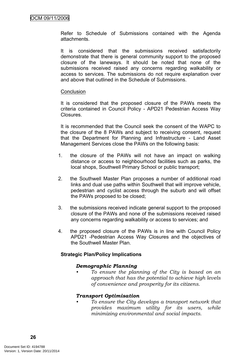Refer to Schedule of Submissions contained with the Agenda attachments.

It is considered that the submissions received satisfactorily demonstrate that there is general community support to the proposed closure of the laneways. It should be noted that none of the submissions received raised any concerns regarding walkability or access to services. The submissions do not require explanation over and above that outlined in the Schedule of Submissions.

#### **Conclusion**

It is considered that the proposed closure of the PAWs meets the criteria contained in Council Policy - APD21 Pedestrian Access Way Closures.

It is recommended that the Council seek the consent of the WAPC to the closure of the 8 PAWs and subject to receiving consent, request that the Department for Planning and Infrastructure - Land Asset Management Services close the PAWs on the following basis:

- 1. the closure of the PAWs will not have an impact on walking distance or access to neighbourhood facilities such as parks, the local shops, Southwell Primary School or public transport;
- 2. the Southwell Master Plan proposes a number of additional road links and dual use paths within Southwell that will improve vehicle, pedestrian and cyclist access through the suburb and will offset the PAWs proposed to be closed;
- 3. the submissions received indicate general support to the proposed closure of the PAWs and none of the submissions received raised any concerns regarding walkability or access to services; and
- 4. the proposed closure of the PAWs is in line with Council Policy APD21 -Pedestrian Access Way Closures and the objectives of the Southwell Master Plan.

#### **Strategic Plan/Policy Implications**

#### *Demographic Planning*

*• To ensure the planning of the City is based on an approach that has the potential to achieve high levels of convenience and prosperity for its citizens.*

#### *Transport Optimisation*

*• To ensure the City develops a transport network that provides maximum utility for its users, while minimizing environmental and social impacts.*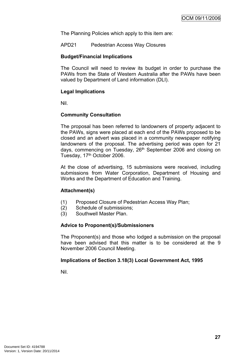The Planning Policies which apply to this item are:

APD21 Pedestrian Access Way Closures

#### **Budget/Financial Implications**

The Council will need to review its budget in order to purchase the PAWs from the State of Western Australia after the PAWs have been valued by Department of Land information (DLI).

#### **Legal Implications**

Nil.

#### **Community Consultation**

The proposal has been referred to landowners of property adjacent to the PAWs, signs were placed at each end of the PAWs proposed to be closed and an advert was placed in a community newspaper notifying landowners of the proposal. The advertising period was open for 21 days, commencing on Tuesday, 26<sup>th</sup> September 2006 and closing on Tuesday, 17<sup>th</sup> October 2006.

At the close of advertising, 15 submissions were received, including submissions from Water Corporation, Department of Housing and Works and the Department of Education and Training.

#### **Attachment(s)**

- (1) Proposed Closure of Pedestrian Access Way Plan;
- (2) Schedule of submissions;
- (3) Southwell Master Plan.

## **Advice to Proponent(s)/Submissioners**

The Proponent(s) and those who lodged a submission on the proposal have been advised that this matter is to be considered at the 9 November 2006 Council Meeting.

#### **Implications of Section 3.18(3) Local Government Act, 1995**

Nil.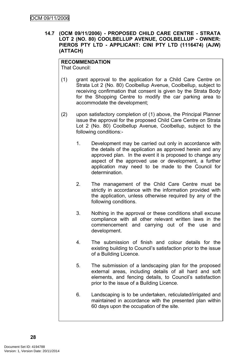<span id="page-31-0"></span>**14.7 (OCM 09/11/2006) - PROPOSED CHILD CARE CENTRE - STRATA LOT 2 (NO. 80) COOLBELLUP AVENUE, COOLBELLUP - OWNER: PIEROS PTY LTD - APPLICANT: CINI PTY LTD (1116474) (AJW) (ATTACH)**

#### **RECOMMENDATION**

That Council:

- (1) grant approval to the application for a Child Care Centre on Strata Lot 2 (No. 80) Coolbellup Avenue, Coolbellup, subject to receiving confirmation that consent is given by the Strata Body for the Shopping Centre to modify the car parking area to accommodate the development;
- (2) upon satisfactory completion of (1) above, the Principal Planner issue the approval for the proposed Child Care Centre on Strata Lot 2 (No. 80) Coolbellup Avenue, Coolbellup, subject to the following conditions:-
	- 1. Development may be carried out only in accordance with the details of the application as approved herein and any approved plan. In the event it is proposed to change any aspect of the approved use or development, a further application may need to be made to the Council for determination.
	- 2. The management of the Child Care Centre must be strictly in accordance with the information provided with the application, unless otherwise required by any of the following conditions.
	- 3. Nothing in the approval or these conditions shall excuse compliance with all other relevant written laws in the commencement and carrying out of the use and development.
	- 4. The submission of finish and colour details for the existing building to Council's satisfaction prior to the issue of a Building Licence.
	- 5. The submission of a landscaping plan for the proposed external areas, including details of all hard and soft elements, and fencing details, to Council's satisfaction prior to the issue of a Building Licence.
	- 6. Landscaping is to be undertaken, reticulated/irrigated and maintained in accordance with the presented plan within 60 days upon the occupation of the site.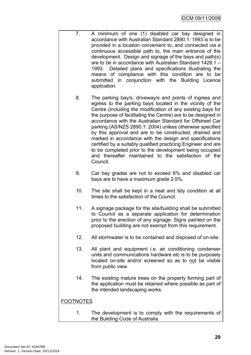- 7. A minimum of one (1) disabled car bay designed in accordance with Australian Standard 2890.1: 1993 is to be provided in a location convenient to, and connected via a continuous accessible path to, the main entrance of the development. Design and signage of the bays and path(s) are to be in accordance with Australian Standard 1428.1 – 1993. Detailed plans and specifications illustrating the means of compliance with this condition are to be submitted in conjunction with the Building Licence application.
	- 8. The parking bay/s, driveway/s and points of ingress and egress to the parking bays located in the vicinity of the Centre (including the modification of any existing bays for the purpose of facilitating the Centre) are to be designed in accordance with the Australian Standard for Offstreet Car parking (AS/NZS 2890.1: 2004) unless otherwise specified by this approval and are to be constructed, drained and marked in accordance with the design and specifications certified by a suitably qualified practicing Engineer and are to be completed prior to the development being occupied and thereafter maintained to the satisfaction of the Council.
	- 9. Car bay grades are not to exceed 6% and disabled car bays are to have a maximum grade 2.5%.
	- 10. The site shall be kept in a neat and tidy condition at all times to the satisfaction of the Council.
	- 11. A signage package for the site/building shall be submitted to Council as a separate application for determination prior to the erection of any signage. Signs painted on the proposed building are not exempt from this requirement.
	- 12. All stormwater is to be contained and disposed of on-site.
	- 13. All plant and equipment i.e. air conditioning condenser units and communications hardware etc is to be purposely located on-site and/or screened so as to not be visible from public view.
	- 14. The existing mature trees on the property forming part of the application must be retained where possible as part of the intended landscaping works.

# FOOTNOTES

1. The development is to comply with the requirements of the Building Code of Australia.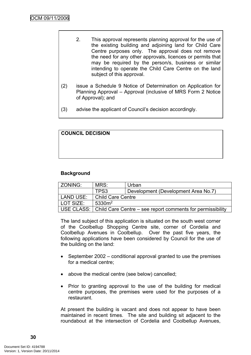- 2. This approval represents planning approval for the use of the existing building and adjoining land for Child Care Centre purposes only. The approval does not remove the need for any other approvals, licences or permits that may be required by the person/s, business or similar intending to operate the Child Care Centre on the land subject of this approval.
- (2) issue a Schedule 9 Notice of Determination on Application for Planning Approval – Approval (inclusive of MRS Form 2 Notice of Approval); and
- (3) advise the applicant of Council's decision accordingly.

# **COUNCIL DECISION**

# **Background**

| <sup>'</sup> ZONING: | MRS:                                                                  | Urban                               |  |
|----------------------|-----------------------------------------------------------------------|-------------------------------------|--|
|                      | TPS3                                                                  | Development (Development Area No.7) |  |
| LAND USE:            | Child Care Centre                                                     |                                     |  |
| LOT SIZE:            | 5330m <sup>2</sup>                                                    |                                     |  |
|                      | USE CLASS: Child Care Centre – see report comments for permissibility |                                     |  |

The land subject of this application is situated on the south west corner of the Coolbellup Shopping Centre site, corner of Cordelia and Coolbellup Avenues in Coolbellup. Over the past five years, the following applications have been considered by Council for the use of the building on the land:

- September 2002 conditional approval granted to use the premises for a medical centre;
- above the medical centre (see below) cancelled;
- Prior to granting approval to the use of the building for medical centre purposes, the premises were used for the purposes of a restaurant.

At present the building is vacant and does not appear to have been maintained in recent times. The site and building sit adjacent to the roundabout at the intersection of Cordelia and Coolbellup Avenues,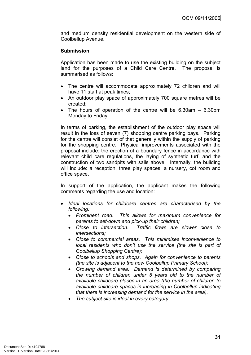and medium density residential development on the western side of Coolbellup Avenue.

#### **Submission**

Application has been made to use the existing building on the subject land for the purposes of a Child Care Centre. The proposal is summarised as follows:

- The centre will accommodate approximately 72 children and will have 11 staff at peak times;
- An outdoor play space of approximately 700 square metres will be created;
- The hours of operation of the centre will be 6.30am 6.30pm Monday to Friday.

In terms of parking, the establishment of the outdoor play space will result in the loss of seven (7) shopping centre parking bays. Parking for the centre will consist of that generally within the supply of parking for the shopping centre. Physical improvements associated with the proposal include: the erection of a boundary fence in accordance with relevant child care regulations, the laying of synthetic turf, and the construction of two sandpits with sails above. Internally, the building will include: a reception, three play spaces, a nursery, cot room and office space.

In support of the application, the applicant makes the following comments regarding the use and location:

- *Ideal locations for childcare centres are characterised by the following:*
	- *Prominent road. This allows for maximum convenience for parents to set-down and pick-up their children;*
	- *Close to intersection. Traffic flows are slower close to intersections;*
	- *Close to commercial areas. This minimises inconvenience to local residents who don't use the service (the site is part of Coolbellup Shopping Centre);*
	- *Close to schools and shops. Again for convenience to parents (the site is adjacent to the new Coolbellup Primary School);*
	- *Growing demand area. Demand is determined by comparing the number of children under 5 years old to the number of available childcare places in an area (the number of children to available childcare spaces in increasing in Coolbellup indicating that there is increasing demand for the service in the area).*
	- *The subject site is ideal in every category.*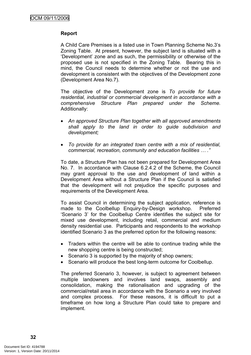#### **Report**

A Child Care Premises is a listed use in Town Planning Scheme No.3's Zoning Table. At present, however, the subject land is situated with a 'Development' zone and as such, the permissibility or otherwise of the proposed use is not specified in the Zoning Table. Bearing this in mind, the Council needs to determine whether or not the use and development is consistent with the objectives of the Development zone (Development Area No.7).

The objective of the Development zone is *To provide for future residential, industrial or commercial development in accordance with a comprehensive Structure Plan prepared under the Scheme.* Additionally:

- *An approved Structure Plan together with all approved amendments shall apply to the land in order to guide subdivision and development;*
- *To provide for an integrated town centre with a mix of residential, commercial, recreation, community and education facilities … ."*

To date, a Structure Plan has not been prepared for Development Area No. 7. In accordance with Clause 6.2.4.2 of the Scheme, the Council may grant approval to the use and development of land within a Development Area without a Structure Plan if the Council is satisfied that the development will not prejudice the specific purposes and requirements of the Development Area.

To assist Council in determining the subject application, reference is made to the Coolbellup Enquiry-by-Design workshop. Preferred 'Scenario 3' for the Coolbellup Centre identifies the subject site for mixed use development, including retail, commercial and medium density residential use. Participants and respondents to the workshop identified Scenario 3 as the preferred option for the following reasons:

- Traders within the centre will be able to continue trading while the new shopping centre is being constructed;
- Scenario 3 is supported by the majority of shop owners;
- Scenario will produce the best long-term outcome for Coolbellup.

The preferred Scenario 3, however, is subject to agreement between multiple landowners and involves land swaps, assembly and consolidation, making the rationalisation and upgrading of the commercial/retail area in accordance with the Scenario a very involved and complex process. For these reasons, it is difficult to put a timeframe on how long a Structure Plan could take to prepare and implement.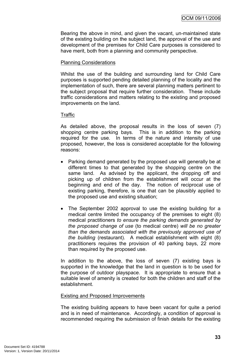Bearing the above in mind, and given the vacant, un-maintained state of the existing building on the subject land, the approval of the use and development of the premises for Child Care purposes is considered to have merit, both from a planning and community perspective.

# Planning Considerations

Whilst the use of the building and surrounding land for Child Care purposes is supported pending detailed planning of the locality and the implementation of such, there are several planning matters pertinent to the subject proposal that require further consideration. These include traffic considerations and matters relating to the existing and proposed improvements on the land.

#### **Traffic**

As detailed above, the proposal results in the loss of seven (7) shopping centre parking bays. This is in addition to the parking required for the use. In terms of the nature and intensity of use proposed, however, the loss is considered acceptable for the following reasons:

- Parking demand generated by the proposed use will generally be at different times to that generated by the shopping centre on the same land. As advised by the applicant, the dropping off and picking up of children from the establishment will occur at the beginning and end of the day. The notion of reciprocal use of existing parking, therefore, is one that can be plausibly applied to the proposed use and existing situation;
- The September 2002 approval to use the existing building for a medical centre limited the occupancy of the premises to eight (8) medical practitioners *to ensure the parking demands generated by the proposed change of use* (to medical centre) *will be no greater than the demands associated with the previously approved use of the building* (restaurant). A medical establishment with eight (8) practitioners requires the provision of 40 parking bays, 22 more than required by the proposed use.

In addition to the above, the loss of seven (7) existing bays is supported in the knowledge that the land in question is to be used for the purpose of outdoor playspace. It is appropriate to ensure that a suitable level of amenity is created for both the children and staff of the establishment.

#### Existing and Proposed Improvements

The existing building appears to have been vacant for quite a period and is in need of maintenance. Accordingly, a condition of approval is recommended requiring the submission of finish details for the existing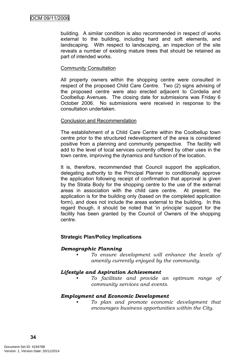building. A similar condition is also recommended in respect of works external to the building, including hard and soft elements, and landscaping. With respect to landscaping, an inspection of the site reveals a number of existing mature trees that should be retained as part of intended works.

## Community Consultation

All property owners within the shopping centre were consulted in respect of the proposed Child Care Centre. Two (2) signs advising of the proposed centre were also erected adjacent to Cordelia and Coolbellup Avenues. The closing date for submissions was Friday 6 October 2006. No submissions were received in response to the consultation undertaken.

# Conclusion and Recommendation

The establishment of a Child Care Centre within the Coolbellup town centre prior to the structured redevelopment of the area is considered positive from a planning and community perspective. The facility will add to the level of local services currently offered by other uses in the town centre, improving the dynamics and function of the location.

It is, therefore, recommended that Council support the application, delegating authority to the Principal Planner to conditionally approve the application following receipt of confirmation that approval is given by the Strata Body for the shopping centre to the use of the external areas in association with the child care centre. At present, the application is for the building only (based on the completed application form), and does not include the areas external to the building. In this regard though, it should be noted that 'in principle' support for the facility has been granted by the Council of Owners of the shopping centre.

# **Strategic Plan/Policy Implications**

# *Demographic Planning*

*• To ensure development will enhance the levels of amenity currently enjoyed by the community.*

#### *Lifestyle and Aspiration Achievement*

*• To facilitate and provide an optimum range of community services and events.*

#### *Employment and Economic Development*

*• To plan and promote economic development that encourages business opportunities within the City.*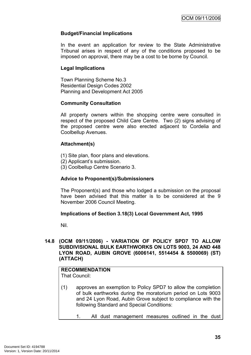## **Budget/Financial Implications**

In the event an application for review to the State Administrative Tribunal arises in respect of any of the conditions proposed to be imposed on approval, there may be a cost to be borne by Council.

## **Legal Implications**

Town Planning Scheme No.3 Residential Design Codes 2002 Planning and Development Act 2005

#### **Community Consultation**

All property owners within the shopping centre were consulted in respect of the proposed Child Care Centre. Two (2) signs advising of the proposed centre were also erected adjacent to Cordelia and Coolbellup Avenues.

#### **Attachment(s)**

- (1) Site plan, floor plans and elevations.
- (2) Applicant's submission.
- (3) Coolbellup Centre Scenario 3.

#### **Advice to Proponent(s)/Submissioners**

The Proponent(s) and those who lodged a submission on the proposal have been advised that this matter is to be considered at the 9 November 2006 Council Meeting.

#### **Implications of Section 3.18(3) Local Government Act, 1995**

Nil.

#### **14.8 (OCM 09/11/2006) - VARIATION OF POLICY SPD7 TO ALLOW SUBDIVISIONAL BULK EARTHWORKS ON LOTS 9003, 24 AND 448 LYON ROAD, AUBIN GROVE (6006141, 5514454 & 5500069) (ST) (ATTACH)**

# **RECOMMENDATION**

That Council:

- (1) approves an exemption to Policy SPD7 to allow the completion of bulk earthworks during the moratorium period on Lots 9003 and 24 Lyon Road, Aubin Grove subject to compliance with the following Standard and Special Conditions:
	- 1. All dust management measures outlined in the dust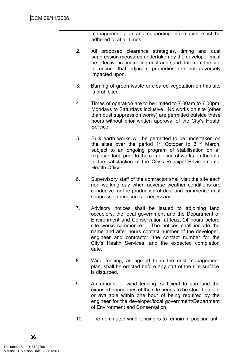management plan and supporting information must be adhered to at all times.

- 2. All proposed clearance strategies, timing and dust suppression measures undertaken by the developer must be effective in controlling dust and sand drift from the site to ensure that adjacent properties are not adversely impacted upon.
- 3. Burning of green waste or cleared vegetation on this site is prohibited.
- 4. Times of operation are to be limited to 7.00am to 7.00pm, Mondays to Saturdays inclusive. No works on site (other than dust suppression works) are permitted outside these hours without prior written approval of the City's Health Service.
- 5. Bulk earth works will be permitted to be undertaken on the sites over the period 1<sup>st</sup> October to 31<sup>st</sup> March, subject to an ongoing program of stabilisation on all exposed land prior to the completion of works on the lots, to the satisfaction of the City's Principal Environmental Health Officer.
- 6. Supervisory staff of the contractor shall visit the site each non working day when adverse weather conditions are conducive for the production of dust and commence dust suppression measures if necessary.
- 7. Advisory notices shall be issued to adjoining land occupiers, the local government and the Department of Environment and Conservation at least 24 hours before site works commence. The notices shall include the name and after hours contact number of the developer, engineer and contractor, the contact number for the City's Health Services, and the expected completion date.
- 8. Wind fencing, as agreed to in the dust management plan, shall be erected before any part of the site surface is disturbed.
- 9. An amount of wind fencing, sufficient to surround the exposed boundaries of the site needs to be stored on site or available within one hour of being required by the engineer for the developer/local government/Department of Environment and Conservation.
- 10. The nominated wind fencing is to remain in position until

**36**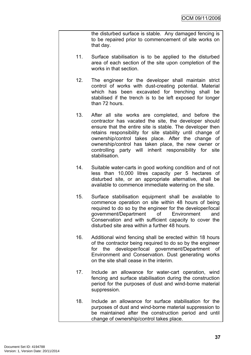the disturbed surface is stable. Any damaged fencing is to be repaired prior to commencement of site works on that day.

- 11. Surface stabilisation is to be applied to the disturbed area of each section of the site upon completion of the works in that section.
- 12. The engineer for the developer shall maintain strict control of works with dust-creating potential. Material which has been excavated for trenching shall be stabilised if the trench is to be left exposed for longer than 72 hours.
- 13. After all site works are completed, and before the contractor has vacated the site, the developer should ensure that the entire site is stable. The developer then retains responsibility for site stability until change of ownership/control takes place. After the change of ownership/control has taken place, the new owner or controlling party will inherit responsibility for site stabilisation.
- 14. Suitable water-carts in good working condition and of not less than 10,000 litres capacity per 5 hectares of disturbed site, or an appropriate alternative, shall be available to commence immediate watering on the site.
- 15. Surface stabilisation equipment shall be available to commence operation on site within 48 hours of being required to do so by the engineer for the developer/local government/Department of Environment and Conservation and with sufficient capacity to cover the disturbed site area within a further 48 hours.
- 16. Additional wind fencing shall be erected within 18 hours of the contractor being required to do so by the engineer for the developer/local government/Department of Environment and Conservation. Dust generating works on the site shall cease in the interim.
- 17. Include an allowance for water-cart operation, wind fencing and surface stabilisation during the construction period for the purposes of dust and wind-borne material suppression.
- 18. Include an allowance for surface stabilisation for the purposes of dust and wind-borne material suppression to be maintained after the construction period and until change of ownership/control takes place.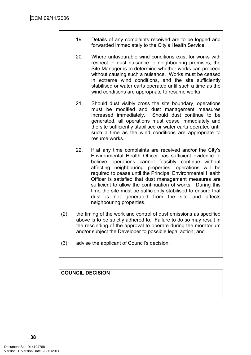- 19. Details of any complaints received are to be logged and forwarded immediately to the City's Health Service.
- 20. Where unfavourable wind conditions exist for works with respect to dust nuisance to neighbouring premises, the Site Manager is to determine whether works can proceed without causing such a nuisance. Works must be ceased in extreme wind conditions, and the site sufficiently stabilised or water carts operated until such a time as the wind conditions are appropriate to resume works.
- 21. Should dust visibly cross the site boundary, operations must be modified and dust management measures increased immediately. Should dust continue to be generated, all operations must cease immediately and the site sufficiently stabilised or water carts operated until such a time as the wind conditions are appropriate to resume works.
- 22. If at any time complaints are received and/or the City's Environmental Health Officer has sufficient evidence to believe operations cannot feasibly continue without affecting neighbouring properties, operations will be required to cease until the Principal Environmental Health Officer is satisfied that dust management measures are sufficient to allow the continuation of works. During this time the site must be sufficiently stabilised to ensure that dust is not generated from the site and affects neighbouring properties.
- (2) the timing of the work and control of dust emissions as specified above is to be strictly adhered to. Failure to do so may result in the rescinding of the approval to operate during the moratorium and/or subject the Developer to possible legal action; and
- (3) advise the applicant of Council's decision.

# **COUNCIL DECISION**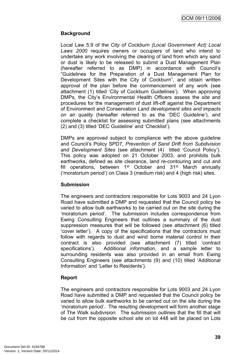# **Background**

Local Law 5.9 of the *City of Cockburn (Local Government Act) Local Laws 2000* requires owners or occupiers of land who intend to undertake any work involving the clearing of land from which any sand or dust is likely to be released to submit a Dust Management Plan (hereafter referred to as DMP) in accordance with Council's "Guidelines for the Preparation of a Dust Management Plan for Development Sites with the City of Cockburn", and obtain written approval of the plan before the commencement of any work (see attachment (1) titled 'City of Cockburn Guidelines'). When approving DMPs, the City's Environmental Health Officers assess the site and procedures for the management of dust lift-off against the Department of Environment and Conservation *Land development sites and impacts on air quality* (hereafter referred to as the 'DEC Guideline'), and complete a checklist for assessing submitted plans (see attachments (2) and (3) titled 'DEC Guideline' and 'Checklist')*.*

DMPs are approved subject to compliance with the above guideline and Council's Policy SPD7, *Prevention of Sand Drift from Subdivision and Development Sites* (see attachment (4) titled 'Council Policy'). This policy was adopted on 21 October 2003, and prohibits bulk earthworks, defined as site clearance, land re-contouring and cut and fill operations, between 1<sup>st</sup> October and 31<sup>st</sup> March annually ('moratorium period') on Class 3 (medium risk) and 4 (high risk) sites.

# **Submission**

The engineers and contractors responsible for Lots 9003 and 24 Lyon Road have submitted a DMP and requested that the Council policy be varied to allow bulk earthworks to be carried out on the site during the 'moratorium period'. The submission includes correspondence from Ewing Consulting Engineers that outlines a summary of the dust suppression measures that will be followed (see attachment (6) titled 'cover letter'). A copy of the specifications that the contractors must follow with regards to dust and wind borne material control in their contract is also provided (see attachment (7) titled 'contract specifications'). Additional information, and a sample letter to surrounding residents was also provided in an email from Ewing Consulting Engineers (see attachments (9) and (10) titled 'Additional Information' and 'Letter to Residents').

# **Report**

The engineers and contractors responsible for Lots 9003 and 24 Lyon Road have submitted a DMP and requested that the Council policy be varied to allow bulk earthworks to be carried out on the site during the 'moratorium period'. The resulting development will form another stage of The Walk subdivision. The submission outlines that the fill that will be cut from the opposite school site on lot 448 will be placed on Lots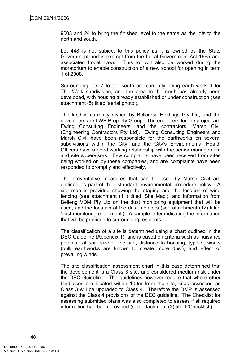9003 and 24 to bring the finished level to the same as the lots to the north and south.

Lot 448 is not subject to this policy as it is owned by the State Government and is exempt from the Local Government Act 1995 and associated Local Laws. This lot will also be worked during the moratorium to enable construction of a new school for opening in term 1 of 2008.

Surrounding lots 7 to the south are currently being earth worked for The Walk subdivision, and the area to the north has already been developed, with housing already established or under construction (see attachment (5) titled 'aerial photo').

The land is currently owned by Bellcross Holdings Pty Ltd, and the developers are LWP Property Group. The engineers for the project are Ewing Consulting Engineers, and the contractors, Marsh Civil (Engineering Contractors Pty Ltd). Ewing Consulting Engineers and Marsh Civil have been responsible for the earthworks on several subdivisions within the City, and the City's Environmental Health Officers have a good working relationship with the senior management and site supervisors. Few complaints have been received from sites being worked on by these companies, and any complaints have been responded to promptly and effectively.

The preventative measures that can be used by Marsh Civil are outlined as part of their standard environmental procedure policy. A site map is provided showing the staging and the location of wind fencing (see attachment (11) titled 'Site Map'), and information from Belleng VDM Pty Ltd on the dust monitoring equipment that will be used, and the location of the dust monitors (see attachment (12) titled 'dust monitoring equipment'). A sample letter indicating the information that will be provided to surrounding residents

The classification of a site is determined using a chart outlined in the DEC Guideline (Appendix 1), and is based on criteria such as nuisance potential of soil, size of the site, distance to housing, type of works (bulk earthworks are known to create more dust), and effect of prevailing winds.

The site classification assessment chart in this case determined that the development is a Class 3 site, and considered medium risk under the DEC Guideline. The guidelines however require that where other land uses are located within 100m from the site, sites assessed as Class 3 will be upgraded to Class 4. Therefore the DMP is assessed against the Class 4 provisions of the DEC guideline. The Checklist for assessing submitted plans was also completed to assess if all required information had been provided (see attachment (3) titled 'Checklist').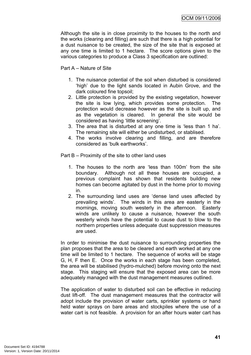Although the site is in close proximity to the houses to the north and the works (clearing and filling) are such that there is a high potential for a dust nuisance to be created, the size of the site that is exposed at any one time is limited to 1 hectare. The score options given to the various categories to produce a Class 3 specification are outlined:

Part A – Nature of Site

- 1. The nuisance potential of the soil when disturbed is considered 'high' due to the light sands located in Aubin Grove, and the dark coloured fine topsoil;
- 2. Little protection is provided by the existing vegetation, however the site is low lying, which provides some protection. The protection would decrease however as the site is built up, and as the vegetation is cleared. In general the site would be considered as having 'little screening'.
- 3. The area that is disturbed at any one time is 'less than 1 ha'. The remaining site will either be undisturbed, or stablised.
- 4. The works involve clearing and filling, and are therefore considered as 'bulk earthworks'.

Part B – Proximity of the site to other land uses

- 1. The houses to the north are 'less than 100m' from the site boundary. Although not all these houses are occupied, a previous complaint has shown that residents building new homes can become agitated by dust in the home prior to moving in.
- 2. The surrounding land uses are 'dense land uses affected by prevailing winds'. The winds in this area are easterly in the mornings, moving south westerly in the afternoon. Easterly winds are unlikely to cause a nuisance, however the south westerly winds have the potential to cause dust to blow to the northern properties unless adequate dust suppression measures are used.

In order to minimise the dust nuisance to surrounding properties the plan proposes that the area to be cleared and earth worked at any one time will be limited to 1 hectare. The sequence of works will be stage G, H, F then E. Once the works in each stage has been completed, the area will be stabilised (hydro-mulched) before moving onto the next stage. This staging will ensure that the exposed area can be more adequately managed with the dust management measures outlined.

The application of water to disturbed soil can be effective in reducing dust lift-off. The dust management measures that the contractor will adopt include the provision of water carts, sprinkler systems or hand held water sprays on bare areas and stockpiles where the use of a water cart is not feasible. A provision for an after hours water cart has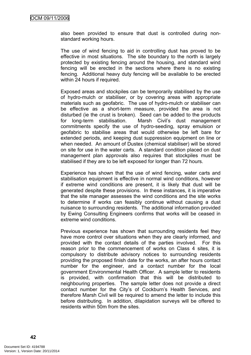also been provided to ensure that dust is controlled during nonstandard working hours.

The use of wind fencing to aid in controlling dust has proved to be effective in most situations. The site boundary to the north is largely protected by existing fencing around the housing, and standard wind fencing will be erected in the sections where there is no existing fencing. Additional heavy duty fencing will be available to be erected within 24 hours if required.

Exposed areas and stockpiles can be temporarily stabilised by the use of hydro-mulch or stabiliser, or by covering areas with appropriate materials such as geofabric. The use of hydro-mulch or stabiliser can be effective as a short-term measure, provided the area is not disturbed (ie the crust is broken). Seed can be added to the products for long-term stabilisation. Marsh Civil's dust management commitments specify the use of hydro-seeding, spray emulsion or geofabric to stabilise areas that would otherwise be left bare for extended periods, and keeping dust suppression equipment on line or when needed. An amount of Dustex (chemical stabiliser) will be stored on site for use in the water carts. A standard condition placed on dust management plan approvals also requires that stockpiles must be stabilised if they are to be left exposed for longer than 72 hours.

Experience has shown that the use of wind fencing, water carts and stabilisation equipment is effective in normal wind conditions, however if extreme wind conditions are present, it is likely that dust will be generated despite these provisions. In these instances, it is imperative that the site manager assesses the wind conditions and the site works to determine if works can feasibly continue without causing a dust nuisance to surrounding residents. The additional information provided by Ewing Consulting Engineers confirms that works will be ceased in extreme wind conditions.

Previous experience has shown that surrounding residents feel they have more control over situations when they are clearly informed, and provided with the contact details of the parties involved. For this reason prior to the commencement of works on Class 4 sites, it is compulsory to distribute advisory notices to surrounding residents providing the proposed finish date for the works, an after hours contact number for the engineer, and a contact number for the local government Environmental Health Officer. A sample letter to residents is provided, with confirmation that this will be distributed to neighbouring properties. The sample letter does not provide a direct contact number for the City's of Cockburn's Health Services, and therefore Marsh Civil will be required to amend the letter to include this before distributing. In addition, dilapidation surveys will be offered to residents within 50m from the sites.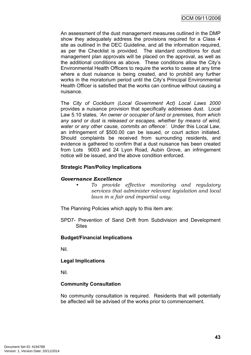An assessment of the dust management measures outlined in the DMP show they adequately address the provisions required for a Class 4 site as outlined in the DEC Guideline, and all the information required, as per the Checklist is provided*.* The standard conditions for dust management plan approvals will be placed on the approval, as well as the additional conditions as above. These conditions allow the City's Environmental Health Officers to require the works to cease at any time where a dust nuisance is being created, and to prohibit any further works in the moratorium period until the City's Principal Environmental Health Officer is satisfied that the works can continue without causing a nuisance.

The *City of Cockburn (Local Government Act) Local Laws 2000* provides a nuisance provision that specifically addresses dust. Local Law 5.10 states, *'An owner or occupier of land or premises, from which any sand or dust is released or escapes, whether by means of wind, water or any other cause, commits an offence'*. Under this Local Law, an infringement of \$500.00 can be issued, or court action initiated. Should complaints be received from surrounding residents, and evidence is gathered to confirm that a dust nuisance has been created from Lots 9003 and 24 Lyon Road, Aubin Grove, an infringement notice will be issued, and the above condition enforced.

# **Strategic Plan/Policy Implications**

#### *Governance Excellence*

*• To provide effective monitoring and regulatory services that administer relevant legislation and local laws in a fair and impartial way.*

The Planning Policies which apply to this item are:

SPD7- Prevention of Sand Drift from Subdivision and Development **Sites** 

#### **Budget/Financial Implications**

Nil.

# **Legal Implications**

Nil.

# **Community Consultation**

No community consultation is required. Residents that will potentially be affected will be advised of the works prior to commencement.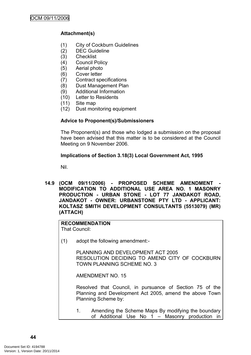# **Attachment(s)**

- (1) City of Cockburn Guidelines
- (2) DEC Guideline
- (3) Checklist
- (4) Council Policy
- (5) Aerial photo
- (6) Cover letter
- (7) Contract specifications
- (8) Dust Management Plan
- (9) Additional Information
- (10) Letter to Residents
- (11) Site map
- (12) Dust monitoring equipment

# **Advice to Proponent(s)/Submissioners**

The Proponent(s) and those who lodged a submission on the proposal have been advised that this matter is to be considered at the Council Meeting on 9 November 2006.

#### **Implications of Section 3.18(3) Local Government Act, 1995**

Nil.

**14.9 (OCM 09/11/2006) - PROPOSED SCHEME AMENDMENT - MODIFICATION TO ADDITIONAL USE AREA NO. 1 MASONRY PRODUCTION - URBAN STONE - LOT 77 JANDAKOT ROAD, JANDAKOT - OWNER: URBANSTONE PTY LTD - APPLICANT: KOLTASZ SMITH DEVELOPMENT CONSULTANTS (5513079) (MR) (ATTACH)**

# **RECOMMENDATION**

That Council:

(1) adopt the following amendment:-

PLANNING AND DEVELOPMENT ACT 2005 RESOLUTION DECIDING TO AMEND CITY OF COCKBURN TOWN PLANNING SCHEME NO. 3

AMENDMENT NO. 15

Resolved that Council, in pursuance of Section 75 of the Planning and Development Act 2005, amend the above Town Planning Scheme by:

1. Amending the Scheme Maps By modifying the boundary of Additional Use No 1 – Masonry production in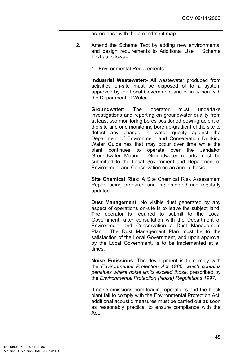accordance with the amendment map.

- 2. Amend the Scheme Text by adding new environmental and design requirements to Additional Use 1 Scheme Text as follows:-
	- 1. Environmental Requirements:

**Industrial Wastewater**:- All wastewater produced from activities on-site must be disposed of to a system approved by the Local Government and or in liaison with the Department of Water.

**Groundwater**: The operator must undertake investigations and reporting on groundwater quality from at least two monitoring bores positioned down-gradient of the site and one monitoring bore up-gradient of the site to detect any change in water quality against the Department of Environment and Conservation Drinking Water Guidelines that may occur over time while the plant continues to operate over the Jandakot Groundwater Mound. Groundwater reports must be submitted to the Local Government and Department of Environment and Conservation on an annual basis.

**Site Chemical Risk**: A Site Chemical Risk Assessment Report being prepared and implemented and regularly updated.

**Dust Management**: No visible dust generated by any aspect of operations on-site is to leave the subject land. The operator is required to submit to the Local Government, after consultation with the Department of Environment and Conservation a Dust Management Plan. The Dust Management Plan must be to the satisfaction of the Local Government, and upon approval by the Local Government, is to be implemented at all times.

**Noise Emissions**: The development is to comply with the *Environmental Protection Act 1986, which contains penalties where noise limits exceed those,* prescribed by the *Environmental Protection (Noise) Regulations 1997.*

If noise emissions from loading operations and the block plant fail to comply with the Environmental Protection Act, additional acoustic measures must be carried out as soon as reasonably practical to ensure compliance with the Act.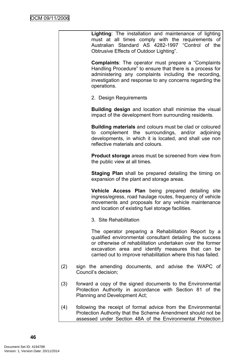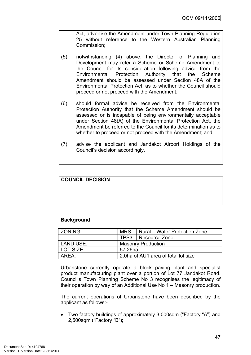Act, advertise the Amendment under Town Planning Regulation 25 without reference to the Western Australian Planning Commission;

- (5) notwithstanding (4) above, the Director of Planning and Development may refer a Scheme or Scheme Amendment to the Council for its consideration following advice from the Environmental Protection Authority that the Scheme Amendment should be assessed under Section 48A of the Environmental Protection Act, as to whether the Council should proceed or not proceed with the Amendment;
- (6) should formal advice be received from the Environmental Protection Authority that the Scheme Amendment should be assessed or is incapable of being environmentally acceptable under Section 48(A) of the Environmental Protection Act, the Amendment be referred to the Council for its determination as to whether to proceed or not proceed with the Amendment; and
- (7) advise the applicant and Jandakot Airport Holdings of the Council's decision accordingly.

# **COUNCIL DECISION**

#### **Background**

| ZONING:   |                                     | MRS:   Rural – Water Protection Zone |  |
|-----------|-------------------------------------|--------------------------------------|--|
|           |                                     | TPS3: Resource Zone                  |  |
| LAND USE: | <b>Masonry Production</b>           |                                      |  |
| LOT SIZE: | 57.26ha                             |                                      |  |
| AREA:     | 2.0ha of AU1 area of total lot size |                                      |  |

Urbanstone currently operate a block paving plant and specialist product manufacturing plant over a portion of Lot 77 Jandakot Road. Council's Town Planning Scheme No 3 recognises the legitimacy of their operation by way of an Additional Use No 1 – Masonry production.

The current operations of Urbanstone have been described by the applicant as follows:-

 Two factory buildings of approximately 3,000sqm ("Factory "A") and 2,500sqm ("Factory "B");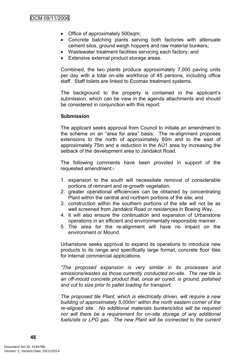- Office of approximately 500sqm;
- Concrete batching plants serving both factories with attenuate cement silos, ground weigh hoppers and raw material bunkers;
- Wastewater treatment facilities servicing each factory; and
- Extensive external product storage areas.

Combined, the two plants produce approximately 7,000 paving units per day with a total on-site workforce of 45 persons, including office staff. Staff toilets are linked to Ecomax treatment systems.

The background to the property is contained in the applicant's submission, which can be view in the agenda attachments and should be considered in conjunction with this report.

#### **Submission**

The applicant seeks approval from Council to initiate an amendment to the scheme on an "area for area" basis. The re-alignment proposes extensions to the north of approximately 60m and to the east of approximately 75m and a reduction in the AU1 area by increasing the setback of the development area to Jandakot Road.

The following comments have been provided in support of the requested amendment:-

- 1. expansion to the south will necessitate removal of considerable portions of remnant and re-growth vegetation;
- 2. greater operational efficiencies can be obtained by concentrating Plant within the central and northern portions of the site; and
- 3. construction within the southern portions of the site will not be as well screened from Jandakot Road or residences in Boeing Way.
- 4. It will also ensure the continuation and expansion of Urbanstone operations in an efficient and environmentally responsible manner.
- 5. The area for the re-alignment will have no impact on the environment or Mound.

Urbanstone seeks approval to expand its operations to introduce new products to its range and specifically large format, concrete floor tiles for internal commercial applications.

*"The proposed expansion is very similar in its processes and emissions/wastes as those currently conducted on-site. The raw tile is an off-mould concrete product that, once air cured, is ground, polished and cut to size prior to pallet loading for transport.*

*The proposed tile Plant, which is electrically driven, will require a new building of approximately 5,000m² within the north eastern corner of the re-aligned site. No additional materials bunkers/silos will be required nor will there be a requirement for on-site storage of any additional fuels/oils or LPG gas. The new Plant will be connected to the current*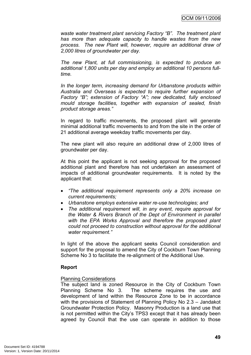*waste water treatment plant servicing Factory "B". The treatment plant has more than adequate capacity to handle wastes from the new process. The new Plant will, however, require an additional draw of 2,000 litres of groundwater per day.*

*The new Plant, at full commissioning, is expected to produce an additional 1,800 units per day and employ an additional 10 persons fulltime.*

*In the longer term, increasing demand for Urbanstone products within Australia and Overseas is expected to require further expansion of Factory "B"; extension of Factory "A"; new dedicated, fully enclosed mould storage facilities, together with expansion of sealed, finish product storage areas."*

In regard to traffic movements, the proposed plant will generate minimal additional traffic movements to and from the site in the order of 21 additional average weekday traffic movements per day.

The new plant will also require an additional draw of 2,000 litres of groundwater per day.

At this point the applicant is not seeking approval for the proposed additional plant and therefore has not undertaken an assessment of impacts of additional groundwater requirements. It is noted by the applicant that:

- *"The additional requirement represents only a 20% increase on current requirements;*
- *Urbanstone employs extensive water re-use technologies; and*
- *The additional requirement will, in any event, require approval for the Water & Rivers Branch of the Dept of Environment in parallel with the EPA Works Approval and therefore the proposed plant could not proceed to construction without approval for the additional water requirement."*

In light of the above the applicant seeks Council consideration and support for the proposal to amend the City of Cockburn Town Planning Scheme No 3 to facilitate the re-alignment of the Additional Use.

#### **Report**

#### Planning Considerations

The subject land is zoned Resource in the City of Cockburn Town Planning Scheme No 3. The scheme requires the use and development of land within the Resource Zone to be in accordance with the provisions of Statement of Planning Policy No 2.3 – Jandakot Groundwater Protection Policy. Masonry Production is a land use that is not permitted within the City's TPS3 except that it has already been agreed by Council that the use can operate in addition to those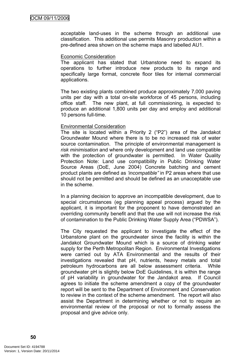acceptable land-uses in the scheme through an additional use classification. This additional use permits Masonry production within a pre-defined area shown on the scheme maps and labelled AU1.

#### Economic Consideration

The applicant has stated that Urbanstone need to expand its operations to further introduce new products to its range and specifically large format, concrete floor tiles for internal commercial applications.

The two existing plants combined produce approximately 7,000 paving units per day with a total on-site workforce of 45 persons, including office staff. The new plant, at full commissioning, is expected to produce an additional 1,800 units per day and employ and additional 10 persons full-time.

#### Environmental Consideration

The site is located within a Priority 2 ("P2") area of the Jandakot Groundwater Mound where there is to be no increased risk of water source contamination. The principle of environmental management is *risk minimisation* and where only development and land use compatible with the protection of groundwater is permitted. In Water Quality Protection Note: Land use compatibility in Public Drinking Water Source Areas (DoE, June 2004) Concrete batching and cement product plants are defined as *'incompatible"* in P2 areas where that use should not be permitted and should be defined as an unacceptable use in the scheme.

In a planning decision to approve an incompatible development, due to special circumstances (eg planning appeal process) argued by the applicant, it is important for the proponent to have demonstrated an overriding community benefit and that the use will not increase the risk of contamination to the Public Drinking Water Supply Area ("PDWSA").

The City requested the applicant to investigate the effect of the Urbanstone plant on the groundwater since the facility is within the Jandakot Groundwater Mound which is a source of drinking water supply for the Perth Metropolitan Region. Environmental Investigations were carried out by ATA Environmental and the results of their investigations revealed that pH, nutrients, heavy metals and total petroleum hydrocarbons are all below assessment criteria. While groundwater pH is slightly below DoE Guidelines, it is within the range of pH variability in groundwater for the Jandakot area. If Council agrees to initiate the scheme amendment a copy of the groundwater report will be sent to the Department of Environment and Conservation to review in the context of the scheme amendment. The report will also assist the Department in determining whether or not to require an environmental review of the proposal or not to formally assess the proposal and give advice only.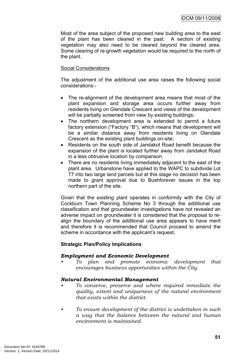Most of the area subject of the proposed new building area to the east of the plant has been cleared in the past. A section of existing vegetation may also need to be cleared beyond the cleared area. Some clearing of re-growth vegetation would be required to the north of the plant.

# Social Considerations

The adjustment of the additional use area raises the following social considerations:-

- The re-alignment of the development area means that most of the plant expansion and storage area occurs further away from residents living on Glendale Crescent and views of the development will be partially screened from view by existing buildings;
- The northern development area is extended to permit a future factory extension ("Factory "B"), which means that development will be a similar distance away from residents living on Glendale Crescent as the existing plant buildings on-site;
- Residents on the south side of Jandakot Road benefit because the expansion of the plant is located further away from Jandakot Road in a less obtrusive location by comparison.
- There are no residents living immediately adjacent to the east of the plant area. Urbanstone have applied to the WAPC to subdivide Lot 77 into two large land parcels but at this stage no decision has been made to grant approval due to Bushforever issues in the top northern part of the site.

Given that the existing plant operates in conformity with the City of Cockburn Town Planning Scheme No 3 through the additional use classification and that groundwater investigations have not revealed an adverse impact on groundwater it is considered that the proposal to realign the boundary of the additional use area appears to have merit and therefore it is recommended that Council proceed to amend the scheme in accordance with the applicant's request.

#### **Strategic Plan/Policy Implications**

#### *Employment and Economic Development*

*• To plan and promote economic development that encourages business opportunities within the City.*

#### *Natural Environmental Management*

- *• To conserve, preserve and where required remediate the quality, extent and uniqueness of the natural environment that exists within the district.*
- *• To ensure development of the district is undertaken in such a way that the balance between the natural and human environment is maintained.*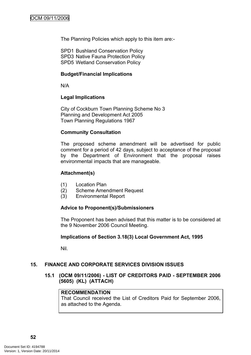The Planning Policies which apply to this item are:-

SPD1 Bushland Conservation Policy SPD3 Native Fauna Protection Policy SPD5 Wetland Conservation Policy

#### **Budget/Financial Implications**

N/A

#### **Legal Implications**

City of Cockburn Town Planning Scheme No 3 Planning and Development Act 2005 Town Planning Regulations 1967

#### **Community Consultation**

The proposed scheme amendment will be advertised for public comment for a period of 42 days, subject to acceptance of the proposal by the Department of Environment that the proposal raises environmental impacts that are manageable.

#### **Attachment(s)**

- (1) Location Plan
- (2) Scheme Amendment Request
- (3) Environmental Report

#### **Advice to Proponent(s)/Submissioners**

The Proponent has been advised that this matter is to be considered at the 9 November 2006 Council Meeting.

#### **Implications of Section 3.18(3) Local Government Act, 1995**

Nil.

#### **15. FINANCE AND CORPORATE SERVICES DIVISION ISSUES**

# **15.1 (OCM 09/11/2006) - LIST OF CREDITORS PAID - SEPTEMBER 2006 (5605) (KL) (ATTACH)**

#### **RECOMMENDATION**

That Council received the List of Creditors Paid for September 2006, as attached to the Agenda.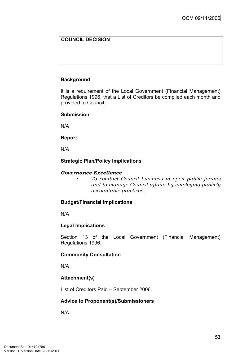# **COUNCIL DECISION**

# **Background**

It is a requirement of the Local Government (Financial Management) Regulations 1996, that a List of Creditors be compiled each month and provided to Council.

#### **Submission**

N/A

#### **Report**

N/A

#### **Strategic Plan/Policy Implications**

#### *Governance Excellence*

*• To conduct Council business in open public forums and to manage Council affairs by employing publicly accountable practices.*

#### **Budget/Financial Implications**

N/A

#### **Legal Implications**

Section 13 of the Local Government (Financial Management) Regulations 1996.

#### **Community Consultation**

N/A

#### **Attachment(s)**

List of Creditors Paid – September 2006.

#### **Advice to Proponent(s)/Submissioners**

N/A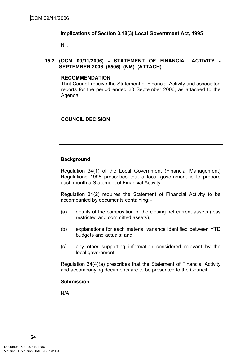#### **Implications of Section 3.18(3) Local Government Act, 1995**

Nil.

# **15.2 (OCM 09/11/2006) - STATEMENT OF FINANCIAL ACTIVITY - SEPTEMBER 2006 (5505) (NM) (ATTACH)**

# **RECOMMENDATION**

That Council receive the Statement of Financial Activity and associated reports for the period ended 30 September 2006, as attached to the Agenda.

# **COUNCIL DECISION**

# **Background**

Regulation 34(1) of the Local Government (Financial Management) Regulations 1996 prescribes that a local government is to prepare each month a Statement of Financial Activity.

Regulation 34(2) requires the Statement of Financial Activity to be accompanied by documents containing:–

- (a) details of the composition of the closing net current assets (less restricted and committed assets),
- (b) explanations for each material variance identified between YTD budgets and actuals; and
- (c) any other supporting information considered relevant by the local government.

Regulation 34(4)(a) prescribes that the Statement of Financial Activity and accompanying documents are to be presented to the Council.

#### **Submission**

N/A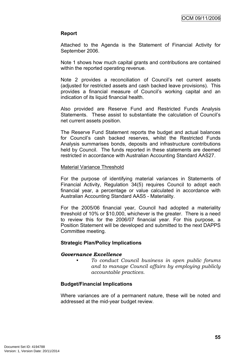#### **Report**

Attached to the Agenda is the Statement of Financial Activity for September 2006.

Note 1 shows how much capital grants and contributions are contained within the reported operating revenue.

Note 2 provides a reconciliation of Council's net current assets (adjusted for restricted assets and cash backed leave provisions). This provides a financial measure of Council's working capital and an indication of its liquid financial health.

Also provided are Reserve Fund and Restricted Funds Analysis Statements. These assist to substantiate the calculation of Council's net current assets position.

The Reserve Fund Statement reports the budget and actual balances for Council's cash backed reserves, whilst the Restricted Funds Analysis summarises bonds, deposits and infrastructure contributions held by Council. The funds reported in these statements are deemed restricted in accordance with Australian Accounting Standard AAS27.

#### Material Variance Threshold

For the purpose of identifying material variances in Statements of Financial Activity, Regulation 34(5) requires Council to adopt each financial year, a percentage or value calculated in accordance with Australian Accounting Standard AAS5 - Materiality.

For the 2005/06 financial year, Council had adopted a materiality threshold of 10% or \$10,000, whichever is the greater. There is a need to review this for the 2006/07 financial year. For this purpose, a Position Statement will be developed and submitted to the next DAPPS Committee meeting.

#### **Strategic Plan/Policy Implications**

#### *Governance Excellence*

*• To conduct Council business in open public forums and to manage Council affairs by employing publicly accountable practices.*

#### **Budget/Financial Implications**

Where variances are of a permanent nature, these will be noted and addressed at the mid-year budget review.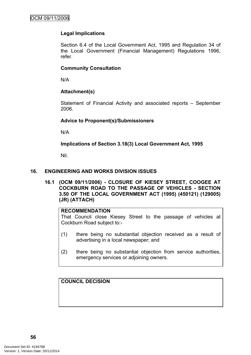## **Legal Implications**

Section 6.4 of the Local Government Act, 1995 and Regulation 34 of the Local Government (Financial Management) Regulations 1996, refer.

#### **Community Consultation**

N/A

#### **Attachment(s)**

Statement of Financial Activity and associated reports – September 2006.

#### **Advice to Proponent(s)/Submissioners**

N/A

**Implications of Section 3.18(3) Local Government Act, 1995**

Nil.

#### **16. ENGINEERING AND WORKS DIVISION ISSUES**

**16.1 (OCM 09/11/2006) - CLOSURE OF KIESEY STREET, COOGEE AT COCKBURN ROAD TO THE PASSAGE OF VEHICLES - SECTION 3.50 OF THE LOCAL GOVERNMENT ACT (1995) (450121) (129005) (JR) (ATTACH)**

## **RECOMMENDATION**

That Council close Kiesey Street to the passage of vehicles at Cockburn Road subject to:-

- (1) there being no substantial objection received as a result of advertising in a local newspaper; and
- (2) there being no substantial objection from service authorities, emergency services or adjoining owners.

**COUNCIL DECISION**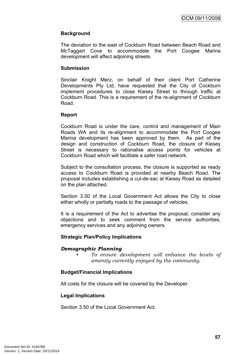## **Background**

The deviation to the east of Cockburn Road between Beach Road and McTaggart Cove to accommodate the Port Coogee Marina development will affect adjoining streets.

#### **Submission**

Sinclair Knight Merz, on behalf of their client Port Catherine Developments Pty Ltd, have requested that the City of Cockburn implement procedures to close Kiesey Street to through traffic at Cockburn Road. This is a requirement of the re-alignment of Cockburn Road.

#### **Report**

Cockburn Road is under the care, control and management of Main Roads WA and its re-alignment to accommodate the Port Coogee Marina development has been approved by them. As part of the design and construction of Cockburn Road, the closure of Kiesey Street is necessary to rationalise access points for vehicles at Cockburn Road which will facilitate a safer road network.

Subject to the consultation process, the closure is supported as ready access to Cockburn Road is provided at nearby Beach Road. The proposal includes establishing a cul-de-sac at Kiesey Road as detailed on the plan attached.

Section 3.50 of the Local Government Act allows the City to close either wholly or partially roads to the passage of vehicles.

It is a requirement of the Act to advertise the proposal, consider any objections and to seek comment from the service authorities, emergency services and any adjoining owners.

#### **Strategic Plan/Policy Implications**

#### *Demographic Planning*

*• To ensure development will enhance the levels of amenity currently enjoyed by the community.*

#### **Budget/Financial Implications**

All costs for the closure will be covered by the Developer.

#### **Legal Implications**

Section 3.50 of the Local Government Act.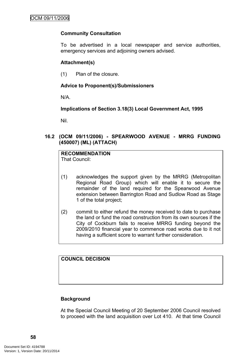# **Community Consultation**

To be advertised in a local newspaper and service authorities, emergency services and adjoining owners advised.

## **Attachment(s)**

(1) Plan of the closure.

# **Advice to Proponent(s)/Submissioners**

N/A.

**Implications of Section 3.18(3) Local Government Act, 1995**

Nil.

# **16.2 (OCM 09/11/2006) - SPEARWOOD AVENUE - MRRG FUNDING (450007) (ML) (ATTACH)**

# **RECOMMENDATION**

That Council:

- (1) acknowledges the support given by the MRRG (Metropolitan Regional Road Group) which will enable it to secure the remainder of the land required for the Spearwood Avenue extension between Barrington Road and Sudlow Road as Stage 1 of the total project;
- (2) commit to either refund the money received to date to purchase the land or fund the road construction from its own sources if the City of Cockburn fails to receive MRRG funding beyond the 2009/2010 financial year to commence road works due to it not having a sufficient score to warrant further consideration.

**COUNCIL DECISION**

# **Background**

At the Special Council Meeting of 20 September 2006 Council resolved to proceed with the land acquisition over Lot 410. At that time Council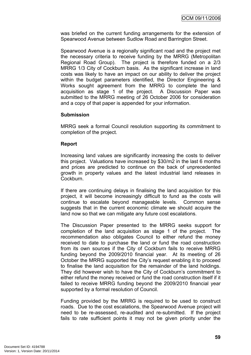was briefed on the current funding arrangements for the extension of Spearwood Avenue between Sudlow Road and Barrington Street.

Spearwood Avenue is a regionally significant road and the project met the necessary criteria to receive funding by the MRRG (Metropolitan Regional Road Group). The project is therefore funded on a 2/3 MRRG 1/3 City of Cockburn basis. As the significant increase in land costs was likely to have an impact on our ability to deliver the project within the budget parameters identified, the Director Engineering & Works sought agreement from the MRRG to complete the land acquisition as stage 1 of the project. A Discussion Paper was submitted to the MRRG meeting of 26 October 2006 for consideration and a copy of that paper is appended for your information.

#### **Submission**

MRRG seek a formal Council resolution supporting its commitment to completion of the project.

#### **Report**

Increasing land values are significantly increasing the costs to deliver this project. Valuations have increased by \$30/m2 in the last 6 months and prices are predicted to continue on the back of unprecedented growth in property values and the latest industrial land releases in Cockburn.

If there are continuing delays in finalising the land acquisition for this project, it will become increasingly difficult to fund as the costs will continue to escalate beyond manageable levels. Common sense suggests that in the current economic climate we should acquire the land now so that we can mitigate any future cost escalations.

The Discussion Paper presented to the MRRG seeks support for completion of the land acquisition as stage 1 of the project. The recommendation also obligates Council to either refund the money received to date to purchase the land or fund the road construction from its own sources if the City of Cockburn fails to receive MRRG funding beyond the 2009/2010 financial year. At its meeting of 26 October the MRRG supported the City's request enabling it to proceed to finalise the land acquisition for the remainder of the land holdings. They did however wish to have the City of Cockburn's commitment to either refund the money received or fund the road construction itself if it failed to receive MRRG funding beyond the 2009/2010 financial year supported by a formal resolution of Council.

Funding provided by the MRRG is required to be used to construct roads. Due to the cost escalations, the Spearwood Avenue project will need to be re-assessed, re-audited and re-submitted. If the project fails to rate sufficient points it may not be given priority under the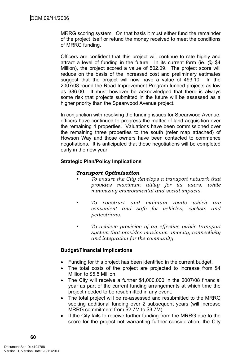MRRG scoring system. On that basis it must either fund the remainder of the project itself or refund the money received to meet the conditions of MRRG funding.

Officers are confident that this project will continue to rate highly and attract a level of funding in the future. In its current form (ie. @ \$4 Million), the project scored a value of 502.09. The project score will reduce on the basis of the increased cost and preliminary estimates suggest that the project will now have a value of 493.10. In the 2007/08 round the Road Improvement Program funded projects as low as 386.00. It must however be acknowledged that there is always some risk that projects submitted in the future will be assessed as a higher priority than the Spearwood Avenue project.

In conjunction with resolving the funding issues for Spearwood Avenue, officers have continued to progress the matter of land acquisition over the remaining 4 properties. Valuations have been commissioned over the remaining three properties to the south (refer map attached) of Howson Way and those owners have been contacted to commence negotiations. It is anticipated that these negotiations will be completed early in the new year.

# **Strategic Plan/Policy Implications**

# *Transport Optimisation*

- *• To ensure the City develops a transport network that provides maximum utility for its users, while minimizing environmental and social impacts.*
- *• To construct and maintain roads which are convenient and safe for vehicles, cyclists and pedestrians.*
- *• To achieve provision of an effective public transport system that provides maximum amenity, connectivity and integration for the community.*

#### **Budget/Financial Implications**

- Funding for this project has been identified in the current budget.
- The total costs of the project are projected to increase from \$4 Million to \$5.5 Million.
- The City will receive a further \$1,000,000 in the 2007/08 financial year as part of the current funding arrangements at which time the project needed to be resubmitted in any event.
- The total project will be re-assessed and resubmitted to the MRRG seeking additional funding over 2 subsequent years (will increase MRRG commitment from \$2.7M to \$3.7M)
- If the City fails to receive further funding from the MRRG due to the score for the project not warranting further consideration, the City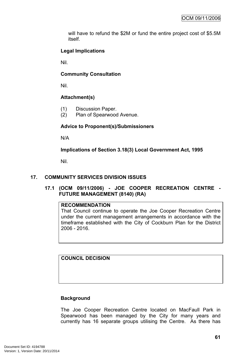will have to refund the \$2M or fund the entire project cost of \$5.5M itself.

# **Legal Implications**

Nil.

# **Community Consultation**

Nil.

# **Attachment(s)**

- (1) Discussion Paper.
- (2) Plan of Spearwood Avenue.

# **Advice to Proponent(s)/Submissioners**

N/A

**Implications of Section 3.18(3) Local Government Act, 1995**

Nil.

# **17. COMMUNITY SERVICES DIVISION ISSUES**

# **17.1 (OCM 09/11/2006) - JOE COOPER RECREATION CENTRE - FUTURE MANAGEMENT (8140) (RA)**

# **RECOMMENDATION**

That Council continue to operate the Joe Cooper Recreation Centre under the current management arrangements in accordance with the timeframe established with the City of Cockburn Plan for the District 2006 - 2016.

**COUNCIL DECISION**

# **Background**

The Joe Cooper Recreation Centre located on MacFaull Park in Spearwood has been managed by the City for many years and currently has 16 separate groups utilising the Centre. As there has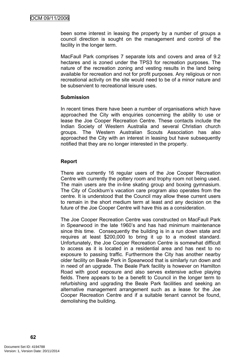been some interest in leasing the property by a number of groups a council direction is sought on the management and control of the facility in the longer term.

MacFaull Park comprises 7 separate lots and covers and area of 9.2 hectares and is zoned under the TPS3 for recreation purposes. The nature of the recreation zoning and vesting results in the land being available for recreation and not for profit purposes. Any religious or non recreational activity on the site would need to be of a minor nature and be subservient to recreational leisure uses.

#### **Submission**

In recent times there have been a number of organisations which have approached the City with enquiries concerning the ability to use or lease the Joe Cooper Recreation Centre. These contacts include the Indian Society of Western Australia and several Christian church groups. The Western Australian Scouts Association has also approached the City with an interest in leasing but have subsequently notified that they are no longer interested in the property.

# **Report**

There are currently 16 regular users of the Joe Cooper Recreation Centre with currently the pottery room and trophy room not being used. The main users are the in-line skating group and boxing gymnasium. The City of Cockburn's vacation care program also operates from the centre. It is understood that the Council may allow these current users to remain in the short medium term at least and any decision on the future of the Joe Cooper Centre will have this as a consideration.

The Joe Cooper Recreation Centre was constructed on MacFaull Park in Spearwood in the late 1960's and has had minimum maintenance since this time. Consequently the building is in a run down state and requires at least \$200,000 to bring it up to a modest standard. Unfortunately, the Joe Cooper Recreation Centre is somewhat difficult to access as it is located in a residential area and has next to no exposure to passing traffic. Furthermore the City has another nearby older facility on Beale Park in Spearwood that is similarly run down and in need of an upgrade. The Beale Park facility is however on Hamilton Road with good exposure and also serves extensive active playing fields. There appears to be a benefit to Council in the longer term to refurbishing and upgrading the Beale Park facilities and seeking an alternative management arrangement such as a lease for the Joe Cooper Recreation Centre and if a suitable tenant cannot be found, demolishing the building.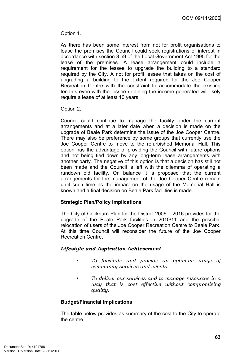Option 1.

As there has been some interest from not for profit organisations to lease the premises the Council could seek registrations of interest in accordance with section 3.59 of the Local Government Act 1995 for the lease of the premises. A lease arrangement could include a requirement for the lessee to upgrade the building to a standard required by the City. A not for profit lessee that takes on the cost of upgrading a building to the extent required for the Joe Cooper Recreation Centre with the constraint to accommodate the existing tenants even with the lessee retaining the income generated will likely require a lease of at least 10 years.

Option 2.

Council could continue to manage the facility under the current arrangements and at a later date when a decision is made on the upgrade of Beale Park determine the issue of the Joe Cooper Centre. There may also be preference by some groups that currently use the Joe Cooper Centre to move to the refurbished Memorial Hall. This option has the advantage of providing the Council with future options and not being tied down by any long-term lease arrangements with another party. The negative of this option is that a decision has still not been made and the Council is left with the dilemma of operating a rundown old facility. On balance it is proposed that the current arrangements for the management of the Joe Cooper Centre remain until such time as the impact on the usage of the Memorial Hall is known and a final decision on Beale Park facilities is made.

#### **Strategic Plan/Policy Implications**

The City of Cockburn Plan for the District 2006 – 2016 provides for the upgrade of the Beale Park facilities in 2010/11 and the possible relocation of users of the Joe Cooper Recreation Centre to Beale Park. At this time Council will reconsider the future of the Joe Cooper Recreation Centre.

# *Lifestyle and Aspiration Achievement*

- *• To facilitate and provide an optimum range of community services and events.*
- *• To deliver our services and to manage resources in a way that is cost effective without compromising quality.*

# **Budget/Financial Implications**

The table below provides as summary of the cost to the City to operate the centre.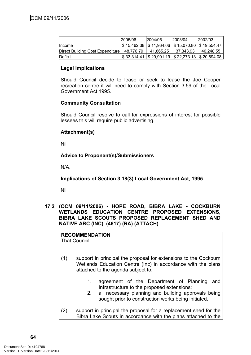|                                  | 2005/06   | 2004/05   | 2003/04                                                                 | 2002/03   |
|----------------------------------|-----------|-----------|-------------------------------------------------------------------------|-----------|
| <b>Ilncome</b>                   |           |           | $$15,462.38$ $$11,964.06$ $$15,070.80$ $$19,554.47$                     |           |
| Direct Building Cost Expenditure | 48.776.79 | 41.865.25 | 37.343.93                                                               | 40,248.55 |
| <b>IDeficit</b>                  |           |           | $\frac{1}{2}$ \$ 33,314.41   \$ 29,901.19   \$ 22,273.13   \$ 20,694.08 |           |

# **Legal Implications**

Should Council decide to lease or seek to lease the Joe Cooper recreation centre it will need to comply with Section 3.59 of the Local Government Act 1995.

# **Community Consultation**

Should Council resolve to call for expressions of interest for possible lessees this will require public advertising.

# **Attachment(s)**

Nil

# **Advice to Proponent(s)/Submissioners**

N/A.

**Implications of Section 3.18(3) Local Government Act, 1995**

Nil

**17.2 (OCM 09/11/2006) - HOPE ROAD, BIBRA LAKE - COCKBURN WETLANDS EDUCATION CENTRE PROPOSED EXTENSIONS, BIBRA LAKE SCOUTS PROPOSED REPLACEMENT SHED AND NATIVE ARC (INC) (4617) (RA) (ATTACH)**

**RECOMMENDATION** That Council:

- (1) support in principal the proposal for extensions to the Cockburn Wetlands Education Centre (Inc) in accordance with the plans attached to the agenda subject to:
	- 1. agreement of the Department of Planning and Infrastructure to the proposed extensions;
	- 2. all necessary planning and building approvals being sought prior to construction works being initiated.
- (2) support in principal the proposal for a replacement shed for the Bibra Lake Scouts in accordance with the plans attached to the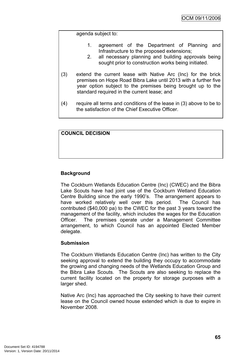agenda subject to:

- 1. agreement of the Department of Planning and Infrastructure to the proposed extensions;
- 2. all necessary planning and building approvals being sought prior to construction works being initiated.
- (3) extend the current lease with Native Arc (Inc) for the brick premises on Hope Road Bibra Lake until 2013 with a further five year option subject to the premises being brought up to the standard required in the current lease; and
- (4) require all terms and conditions of the lease in (3) above to be to the satisfaction of the Chief Executive Officer.

# **COUNCIL DECISION**

# **Background**

The Cockburn Wetlands Education Centre (Inc) (CWEC) and the Bibra Lake Scouts have had joint use of the Cockburn Wetland Education Centre Building since the early 1990's. The arrangement appears to have worked relatively well over this period. The Council has contributed (\$40,000 pa) to the CWEC for the past 3 years toward the management of the facility, which includes the wages for the Education Officer. The premises operate under a Management Committee arrangement, to which Council has an appointed Elected Member delegate.

#### **Submission**

The Cockburn Wetlands Education Centre (Inc) has written to the City seeking approval to extend the building they occupy to accommodate the growing and changing needs of the Wetlands Education Group and the Bibra Lake Scouts. The Scouts are also seeking to replace the current facility located on the property for storage purposes with a larger shed.

Native Arc (Inc) has approached the City seeking to have their current lease on the Council owned house extended which is due to expire in November 2008.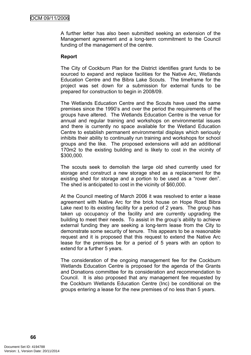A further letter has also been submitted seeking an extension of the Management agreement and a long-term commitment to the Council funding of the management of the centre.

#### **Report**

The City of Cockburn Plan for the District identifies grant funds to be sourced to expand and replace facilities for the Native Arc, Wetlands Education Centre and the Bibra Lake Scouts. The timeframe for the project was set down for a submission for external funds to be prepared for construction to begin in 2008/09.

The Wetlands Education Centre and the Scouts have used the same premises since the 1990's and over the period the requirements of the groups have altered. The Wetlands Education Centre is the venue for annual and regular training and workshops on environmental issues and there is currently no space available for the Wetland Education Centre to establish permanent environmental displays which seriously inhibits their ability to continually run training and workshops for school groups and the like. The proposed extensions will add an additional 170m2 to the existing building and is likely to cost in the vicinity of \$300,000.

The scouts seek to demolish the large old shed currently used for storage and construct a new storage shed as a replacement for the existing shed for storage and a portion to be used as a "rover den". The shed is anticipated to cost in the vicinity of \$60,000.

At the Council meeting of March 2006 it was resolved to enter a lease agreement with Native Arc for the brick house on Hope Road Bibra Lake next to its existing facility for a period of 2 years. The group has taken up occupancy of the facility and are currently upgrading the building to meet their needs. To assist in the group's ability to achieve external funding they are seeking a long-term lease from the City to demonstrate some security of tenure. This appears to be a reasonable request and it is proposed that this request to extend the Native Arc lease for the premises be for a period of 5 years with an option to extend for a further 5 years.

The consideration of the ongoing management fee for the Cockburn Wetlands Education Centre is proposed for the agenda of the Grants and Donations committee for its consideration and recommendation to Council. It is also proposed that any management fee requested by the Cockburn Wetlands Education Centre (Inc) be conditional on the groups entering a lease for the new premises of no less than 5 years.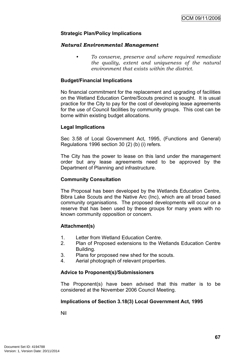## **Strategic Plan/Policy Implications**

#### *Natural Environmental Management*

*• To conserve, preserve and where required remediate the quality, extent and uniqueness of the natural environment that exists within the district.*

#### **Budget/Financial Implications**

No financial commitment for the replacement and upgrading of facilities on the Wetland Education Centre/Scouts precinct is sought. It is usual practice for the City to pay for the cost of developing lease agreements for the use of Council facilities by community groups. This cost can be borne within existing budget allocations.

#### **Legal Implications**

Sec 3.58 of Local Government Act, 1995, (Functions and General) Regulations 1996 section 30 (2) (b) (i) refers.

The City has the power to lease on this land under the management order but any lease agreements need to be approved by the Department of Planning and infrastructure.

#### **Community Consultation**

The Proposal has been developed by the Wetlands Education Centre, Bibra Lake Scouts and the Native Arc (Inc), which are all broad based community organisations. The proposed developments will occur on a reserve that has been used by these groups for many years with no known community opposition or concern.

#### **Attachment(s)**

- 1. Letter from Wetland Education Centre.
- 2. Plan of Proposed extensions to the Wetlands Education Centre Building.
- 3. Plans for proposed new shed for the scouts.
- 4. Aerial photograph of relevant properties.

#### **Advice to Proponent(s)/Submissioners**

The Proponent(s) have been advised that this matter is to be considered at the November 2006 Council Meeting.

#### **Implications of Section 3.18(3) Local Government Act, 1995**

Nil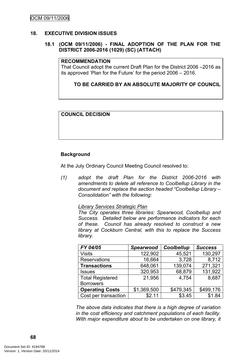## **18. EXECUTIVE DIVISION ISSUES**

# **18.1 (OCM 09/11/2006) - FINAL ADOPTION OF THE PLAN FOR THE DISTRICT 2006-2016 (1029) (SC) (ATTACH)**

#### **RECOMMENDATION**

That Council adopt the current Draft Plan for the District 2006 –2016 as its approved 'Plan for the Future' for the period 2006 – 2016.

#### **TO BE CARRIED BY AN ABSOLUTE MAJORITY OF COUNCIL**

#### **COUNCIL DECISION**

#### **Background**

At the July Ordinary Council Meeting Council resolved to:

*(1) adopt the draft Plan for the District 2006-2016 with amendments to delete all reference to Coolbellup Library in the document and replace the section headed "Coolbellup Library – Consolidation" with the following:*

#### *Library Services Strategic Plan*

*The City operates three libraries: Spearwood, Coolbellup and Success. Detailed below are performance indicators for each of these. Council has already resolved to construct a new library at Cockburn Central, with this to replace the Success library.*

| FY 04/05                | <b>Spearwood</b> | Coolbellup | <b>Success</b> |
|-------------------------|------------------|------------|----------------|
| <b>Visits</b>           | 122,902          | 45,521     | 130,297        |
| Reservations            | 16,664           | 3,728      | 8,712          |
| <b>Transactions</b>     | 648,061          | 139,074    | 271,321        |
| <b>Issues</b>           | 320,953          | 68,879     | 131,922        |
| <b>Total Registered</b> | 21,956           | 4.754      | 8,687          |
| <b>Borrowers</b>        |                  |            |                |
| <b>Operating Costs</b>  | \$1,369,500      | \$479,345  | \$499,176      |
| Cost per transaction    | \$2.11           | \$3.45     | \$1.84         |

*The above data indicates that there is a high degree of variation in the cost efficiency and catchment populations of each facility. With major expenditure about to be undertaken on one library, it*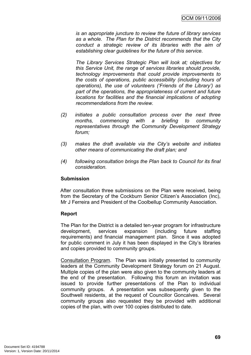*is an appropriate juncture to review the future of library services as a whole. The Plan for the District recommends that the City conduct a strategic review of its libraries with the aim of establishing clear guidelines for the future of this service.*

*The Library Services Strategic Plan will look at; objectives for this Service Unit, the range of services libraries should provide, technology improvements that could provide improvements to the costs of operations, public accessibility (including hours of operations), the use of volunteers ('Friends of the Library') as part of the operations, the appropriateness of current and future locations for facilities and the financial implications of adopting recommendations from the review.*

- *(2) initiates a public consultation process over the next three months, commencing with a briefing to community representatives through the Community Development Strategy forum;*
- *(3) makes the draft available via the City's website and initiates other means of communicating the draft plan; and*
- *(4) following consultation brings the Plan back to Council for its final consideration.*

# **Submission**

After consultation three submissions on the Plan were received, being from the Secretary of the Cockburn Senior Citizen's Association (Inc), Mr J Ferreira and President of the Coolbellup Community Association.

# **Report**

The Plan for the District is a detailed ten-year program for infrastructure development, services expansion (including future staffing requirements) and financial management plan. Since it was adopted for public comment in July it has been displayed in the City's libraries and copies provided to community groups.

Consultation Program. The Plan was initially presented to community leaders at the Community Development Strategy forum on 21 August. Multiple copies of the plan were also given to the community leaders at the end of the presentation. Following this forum an invitation was issued to provide further presentations of the Plan to individual community groups. A presentation was subsequently given to the Southwell residents, at the request of Councillor Goncalves. Several community groups also requested they be provided with additional copies of the plan, with over 100 copies distributed to date.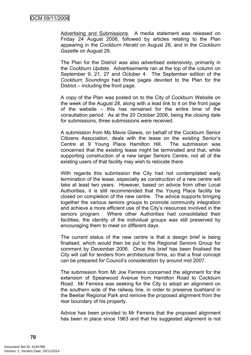Advertising and Submissions. A media statement was released on Friday 24 August 2006, followed by articles relating to the Plan appearing in the *Cockburn Herald* on August 26, and in the *Cockburn Gazette* on August 29.

The Plan for the District was also advertised extensively, primarily in the *Cockburn Update*. Advertisements ran at the top of the column on September 9, 21, 27 and October 4. The September edition of the *Cockburn Soundings* had three pages devoted to the Plan for the District – including the front page.

A copy of the Plan was posted on to the City of Cockburn Website on the week of the August 28, along with a lead link to it on the front page of the website – this has remained for the entire time of the consultation period. As at the 20 October 2006, being the closing date for submissions, three submissions were received.

A submission from Ms Mavis Glewis, on behalf of the Cockburn Senior Citizens Association, deals with the lease on the existing Senior's Centre at 9 Young Place Hamilton Hill. The submission was concerned that the existing lease might be terminated and that, while supporting construction of a new larger Seniors Centre, not all of the existing users of that facility may wish to relocate there.

With regards this submission the City had not contemplated early termination of the lease, especially as construction of a new centre will take at least two years. However, based on advice from other Local Authorities, it is still recommended that the Young Place facility be closed on completion of the new centre. The advice supports bringing together the various seniors groups to promote community integration and achieve a more efficient use of the City's resources involved in the seniors program. Where other Authorities had consolidated their facilities, the identity of the individual groups was still preserved by encouraging them to meet on different days.

The current status of the new centre is that a design brief is being finalised, which would then be put to the Regional Seniors Group for comment by December 2006. Once this brief has been finalised the City will call for tenders from architectural firms, so that a final concept can be prepared for Council's consideration by around mid 2007.

The submission from Mr Joe Ferreira concerned the alignment for the extension of Spearwood Avenue from Hamilton Road to Cockburn Road. Mr Ferreira was seeking for the City to adopt an alignment on the southern side of the railway line, in order to preserve bushland in the Beeliar Regional Park and remove the proposed alignment from the rear boundary of his property.

Advice has been provided to Mr Ferreira that the proposed alignment has been in place since 1963 and that his suggested alignment is not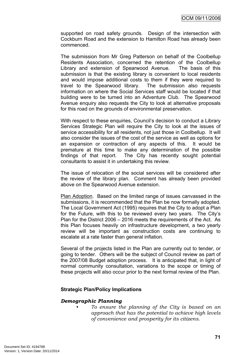supported on road safety grounds. Design of the intersection with Cockburn Road and the extension to Hamilton Road has already been commenced.

The submission from Mr Greg Patterson on behalf of the Coolbellup Residents Association, concerned the retention of the Coolbellup Library and extension of Spearwood Avenue. The basis of this submission is that the existing library is convenient to local residents and would impose additional costs to them if they were required to travel to the Spearwood library. The submission also requests information on where the Social Services staff would be located if that building were to be turned into an Adventure Club. The Spearwood Avenue enquiry also requests the City to look at alternative proposals for this road on the grounds of environmental preservation.

With respect to these enquiries, Council's decision to conduct a Library Services Strategic Plan will require the City to look at the issues of service accessibility for all residents, not just those in Coolbellup. It will also consider the issues of the cost of the service as well as options for an expansion or contraction of any aspects of this. It would be premature at this time to make any determination of the possible findings of that report. The City has recently sought potential consultants to assist it in undertaking this review.

The issue of relocation of the social services will be considered after the review of the library plan. Comment has already been provided above on the Spearwood Avenue extension.

Plan Adoption. Based on the limited range of issues canvassed in the submissions, it is recommended that the Plan be now formally adopted. The Local Government Act (1995) requires that the City to adopt a Plan for the Future, with this to be reviewed every two years. The City's Plan for the District 2006 – 2016 meets the requirements of the Act. As this Plan focuses heavily on infrastructure development, a two yearly review will be important as construction costs are continuing to escalate at a rate faster than general inflation.

Several of the projects listed in the Plan are currently out to tender, or going to tender. Others will be the subject of Council review as part of the 2007/08 Budget adoption process. It is anticipated that, in light of normal community consultation, variations to the scope or timing of these projects will also occur prior to the next formal review of the Plan.

#### **Strategic Plan/Policy Implications**

#### *Demographic Planning*

*• To ensure the planning of the City is based on an approach that has the potential to achieve high levels of convenience and prosperity for its citizens.*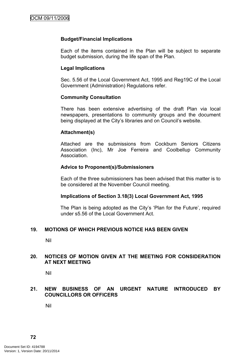# **Budget/Financial Implications**

Each of the items contained in the Plan will be subject to separate budget submission, during the life span of the Plan.

# **Legal Implications**

Sec. 5.56 of the Local Government Act, 1995 and Reg19C of the Local Government (Administration) Regulations refer.

## **Community Consultation**

There has been extensive advertising of the draft Plan via local newspapers, presentations to community groups and the document being displayed at the City's libraries and on Council's website.

# **Attachment(s)**

Attached are the submissions from Cockburn Seniors Citizens Association (Inc), Mr Joe Ferreira and Coolbellup Community Association.

## **Advice to Proponent(s)/Submissioners**

Each of the three submissioners has been advised that this matter is to be considered at the November Council meeting.

#### **Implications of Section 3.18(3) Local Government Act, 1995**

The Plan is being adopted as the City's 'Plan for the Future', required under s5.56 of the Local Government Act.

# **19. MOTIONS OF WHICH PREVIOUS NOTICE HAS BEEN GIVEN**

Nil

## **20. NOTICES OF MOTION GIVEN AT THE MEETING FOR CONSIDERATION AT NEXT MEETING**

Nil

## **21. NEW BUSINESS OF AN URGENT NATURE INTRODUCED BY COUNCILLORS OR OFFICERS**

Nil